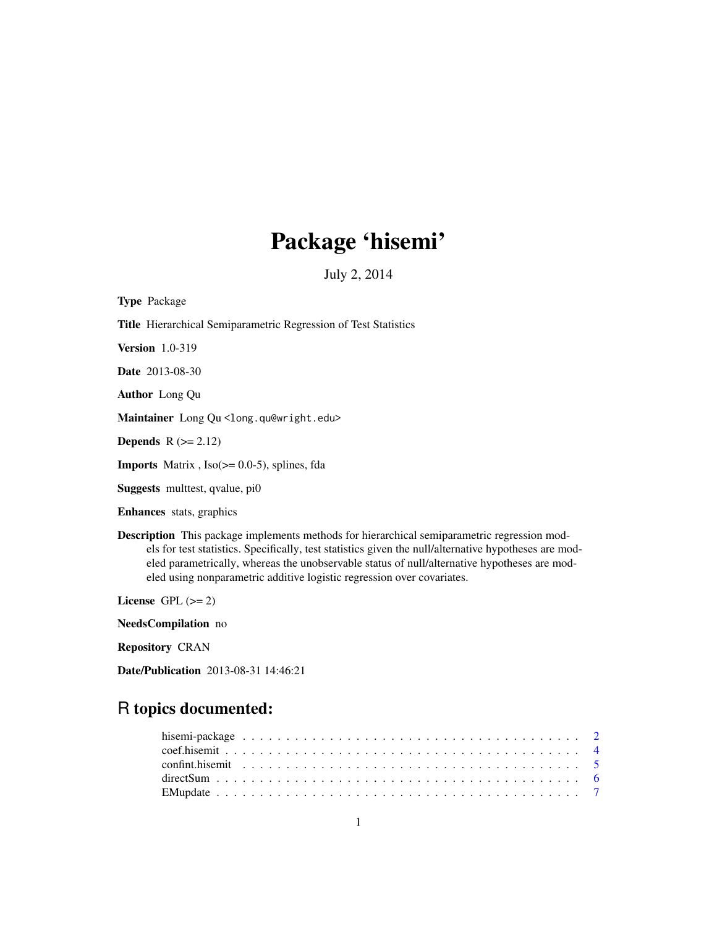# Package 'hisemi'

July 2, 2014

<span id="page-0-0"></span>Type Package Title Hierarchical Semiparametric Regression of Test Statistics Version 1.0-319 Date 2013-08-30 Author Long Qu Maintainer Long Qu <long.qu@wright.edu> Depends  $R$  ( $>= 2.12$ ) **Imports** Matrix,  $Iso(>= 0.0-5)$ , splines, fda Suggests multtest, qvalue, pi0 Enhances stats, graphics Description This package implements methods for hierarchical semiparametric regression models for test statistics. Specifically, test statistics given the null/alternative hypotheses are mod-

eled using nonparametric additive logistic regression over covariates.

License GPL  $(>= 2)$ 

NeedsCompilation no

Repository CRAN

Date/Publication 2013-08-31 14:46:21

# R topics documented:

eled parametrically, whereas the unobservable status of null/alternative hypotheses are mod-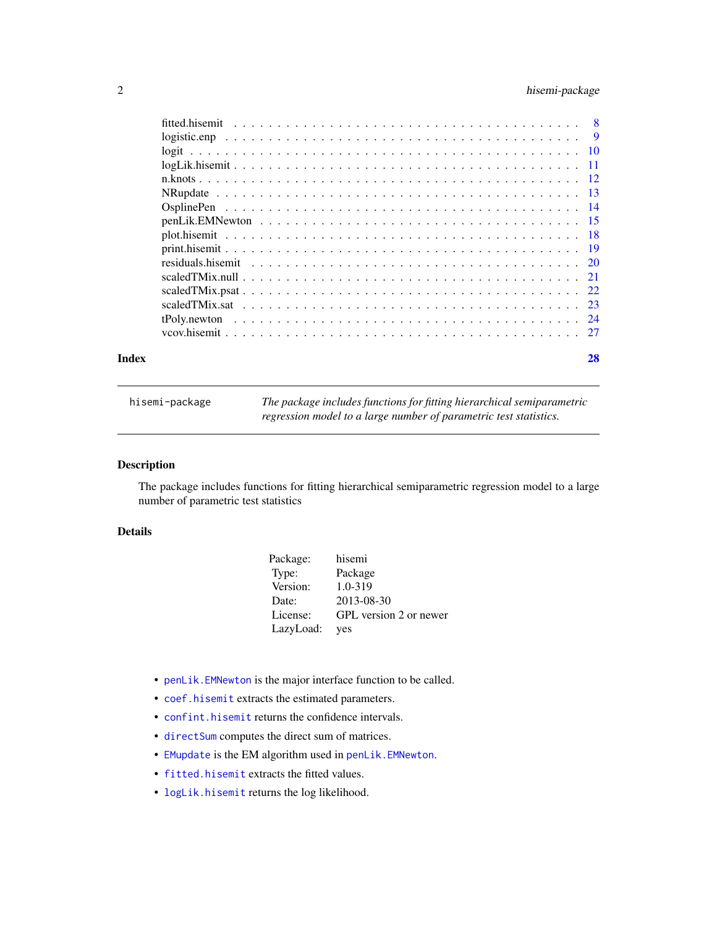# <span id="page-1-0"></span>2 hisemi-package

| Index | 28 |
|-------|----|
|       |    |
|       |    |
|       |    |
|       |    |
|       |    |
|       |    |
|       |    |
|       |    |
|       |    |
|       |    |
|       |    |
|       |    |
|       |    |
|       |    |
|       |    |
|       |    |

<span id="page-1-1"></span>hisemi-package *The package includes functions for fitting hierarchical semiparametric regression model to a large number of parametric test statistics.*

# Description

The package includes functions for fitting hierarchical semiparametric regression model to a large number of parametric test statistics

# Details

| Package:  | hisemi                 |
|-----------|------------------------|
| Type:     | Package                |
| Version:  | 1.0-319                |
| Date:     | 2013-08-30             |
| License:  | GPL version 2 or newer |
| LazyLoad: | yes                    |

- [penLik.EMNewton](#page-14-1) is the major interface function to be called.
- [coef.hisemit](#page-3-1) extracts the estimated parameters.
- [confint.hisemit](#page-4-1) returns the confidence intervals.
- [directSum](#page-5-1) computes the direct sum of matrices.
- [EMupdate](#page-6-1) is the EM algorithm used in [penLik.EMNewton](#page-14-1).
- [fitted.hisemit](#page-7-1) extracts the fitted values.
- [logLik.hisemit](#page-10-1) returns the log likelihood.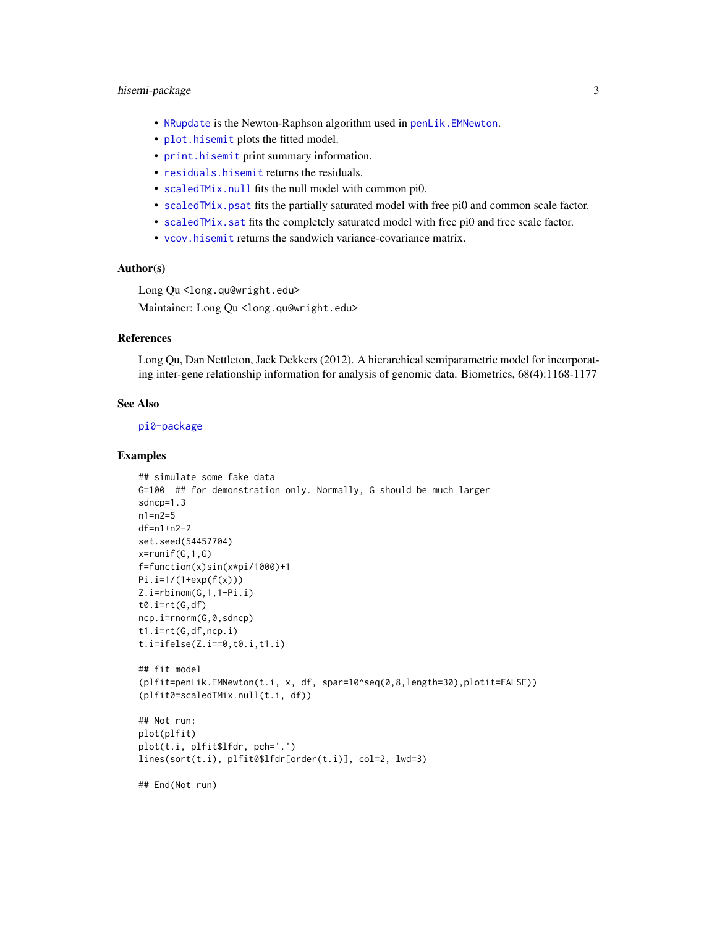# <span id="page-2-0"></span>hisemi-package 3

- [NRupdate](#page-12-1) is the Newton-Raphson algorithm used in [penLik.EMNewton](#page-14-1).
- [plot.hisemit](#page-17-1) plots the fitted model.
- [print.hisemit](#page-18-1) print summary information.
- [residuals.hisemit](#page-19-1) returns the residuals.
- [scaledTMix.null](#page-20-1) fits the null model with common pi0.
- [scaledTMix.psat](#page-21-1) fits the partially saturated model with free pi0 and common scale factor.
- scaled TMix. sat fits the completely saturated model with free pi0 and free scale factor.
- [vcov.hisemit](#page-26-1) returns the sandwich variance-covariance matrix.

# Author(s)

Long Qu <long.qu@wright.edu>

Maintainer: Long Qu <long.qu@wright.edu>

# **References**

Long Qu, Dan Nettleton, Jack Dekkers (2012). A hierarchical semiparametric model for incorporating inter-gene relationship information for analysis of genomic data. Biometrics, 68(4):1168-1177

#### See Also

[pi0-package](#page-0-0)

#### Examples

```
## simulate some fake data
G=100 ## for demonstration only. Normally, G should be much larger
sdncp=1.3
n1=n2=5
df=n1+n2-2
set.seed(54457704)
x=runif(G,1,G)
f=function(x)sin(x*pi/1000)+1
Pi.i=1/(1+exp(f(x)))
Z.i=rbinom(G,1,1-Pi.i)
t0.i=rt(G,df)ncp.i=rnorm(G,0,sdncp)
t1.i=rt(G,df,ncp.i)
t.i=ifelse(Z.i==0,t0.i,t1.i)
## fit model
(plfit=penLik.EMNewton(t.i, x, df, spar=10^seq(0,8,length=30),plotit=FALSE))
(plfit0=scaledTMix.null(t.i, df))
## Not run:
plot(plfit)
plot(t.i, plfit$lfdr, pch='.')
lines(sort(t.i), plfit0$lfdr[order(t.i)], col=2, lwd=3)
## End(Not run)
```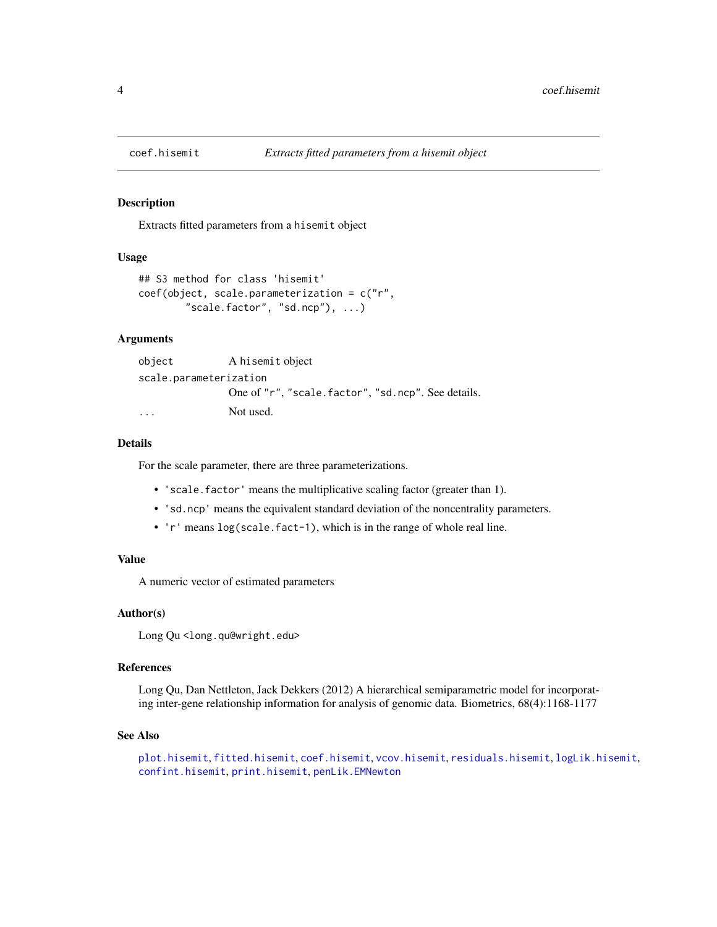<span id="page-3-1"></span><span id="page-3-0"></span>

#### Description

Extracts fitted parameters from a hisemit object

# Usage

```
## S3 method for class 'hisemit'
coef(object, scale.parameterization = c("r",
        "scale.factor", "sd.ncp"), ...)
```
# Arguments

```
object A hisemit object
scale.parameterization
              One of "r", "scale.factor", "sd.ncp". See details.
... Not used.
```
# Details

For the scale parameter, there are three parameterizations.

- 'scale.factor' means the multiplicative scaling factor (greater than 1).
- 'sd.ncp' means the equivalent standard deviation of the noncentrality parameters.
- 'r' means log(scale.fact-1), which is in the range of whole real line.

# Value

A numeric vector of estimated parameters

#### Author(s)

Long Qu <long.qu@wright.edu>

#### References

Long Qu, Dan Nettleton, Jack Dekkers (2012) A hierarchical semiparametric model for incorporating inter-gene relationship information for analysis of genomic data. Biometrics, 68(4):1168-1177

#### See Also

```
plot.hisemit, fitted.hisemit, coef.hisemit, vcov.hisemit, residuals.hisemit, logLik.hisemit,
confint.hisemit, print.hisemit, penLik.EMNewton
```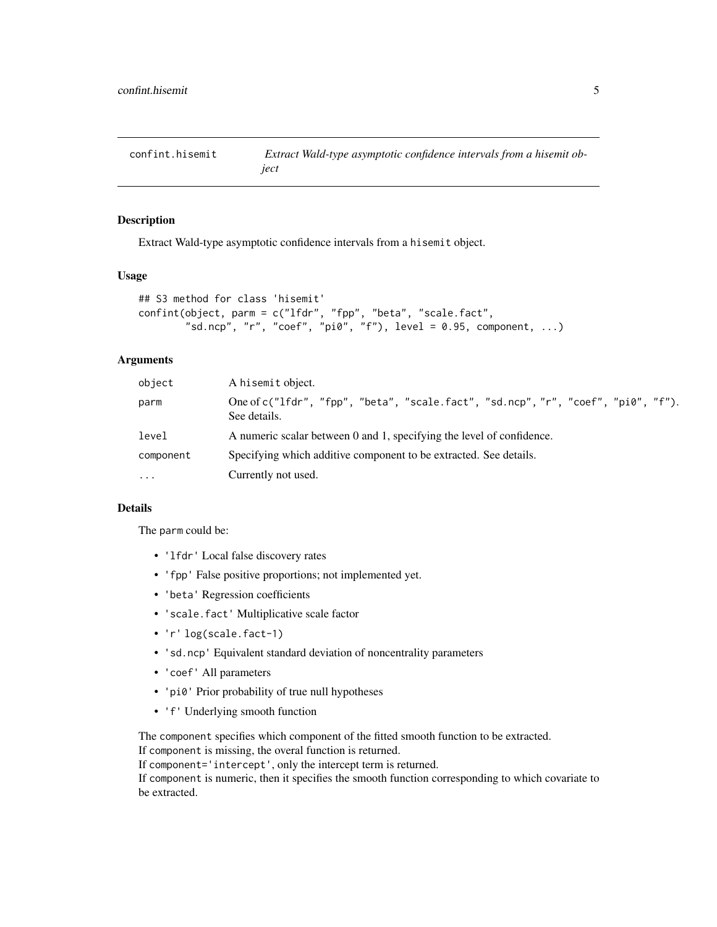<span id="page-4-1"></span><span id="page-4-0"></span>confint.hisemit *Extract Wald-type asymptotic confidence intervals from a hisemit object*

# Description

Extract Wald-type asymptotic confidence intervals from a hisemit object.

# Usage

```
## S3 method for class 'hisemit'
confint(object, parm = c("lfdr", "fpp", "beta", "scale.fact",
        "sd.ncp", "r", "coef", "pi0", "f"), level = 0.95, component, ...)
```
# Arguments

| object              | A hisemit object.                                                                                 |
|---------------------|---------------------------------------------------------------------------------------------------|
| parm                | One of c("1fdr", "fpp", "beta", "scale.fact", "sd.ncp", "r", "coef", "pi0", "f").<br>See details. |
| level               | A numeric scalar between 0 and 1, specifying the level of confidence.                             |
| component           | Specifying which additive component to be extracted. See details.                                 |
| $\cdot \cdot \cdot$ | Currently not used.                                                                               |

# Details

The parm could be:

- 'lfdr' Local false discovery rates
- 'fpp' False positive proportions; not implemented yet.
- 'beta' Regression coefficients
- 'scale.fact' Multiplicative scale factor
- 'r' log(scale.fact-1)
- 'sd.ncp' Equivalent standard deviation of noncentrality parameters
- 'coef' All parameters
- 'pi0' Prior probability of true null hypotheses
- 'f' Underlying smooth function

The component specifies which component of the fitted smooth function to be extracted. If component is missing, the overal function is returned.

If component='intercept', only the intercept term is returned.

If component is numeric, then it specifies the smooth function corresponding to which covariate to be extracted.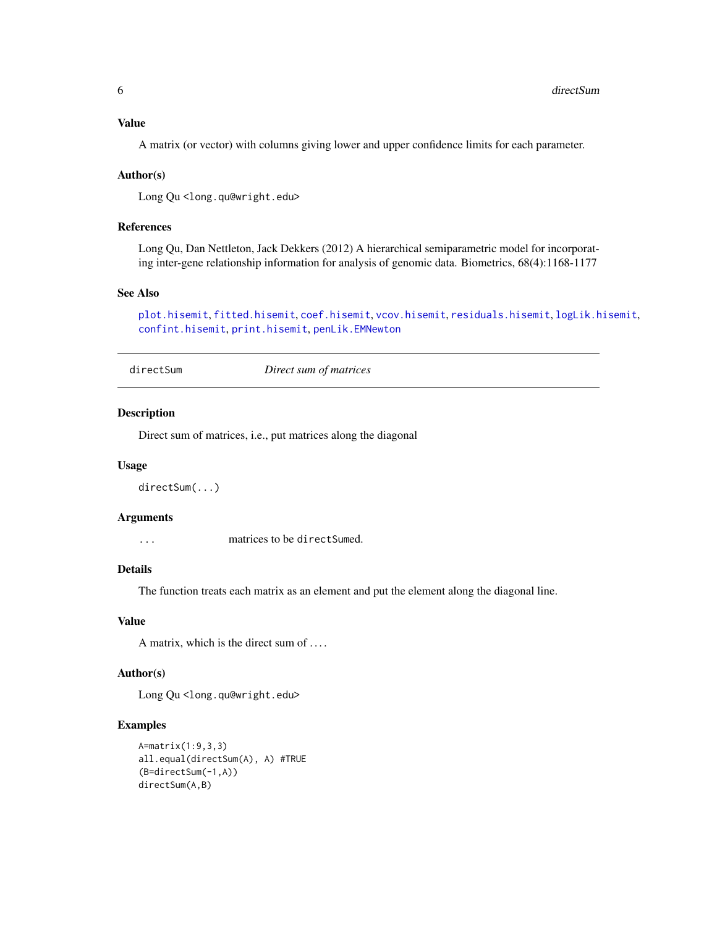# <span id="page-5-0"></span>Value

A matrix (or vector) with columns giving lower and upper confidence limits for each parameter.

#### Author(s)

Long Qu<long.qu@wright.edu>

# References

Long Qu, Dan Nettleton, Jack Dekkers (2012) A hierarchical semiparametric model for incorporating inter-gene relationship information for analysis of genomic data. Biometrics, 68(4):1168-1177

#### See Also

```
plot.hisemit, fitted.hisemit, coef.hisemit, vcov.hisemit, residuals.hisemit, logLik.hisemit,
confint.hisemit, print.hisemit, penLik.EMNewton
```
<span id="page-5-1"></span>directSum *Direct sum of matrices*

#### Description

Direct sum of matrices, i.e., put matrices along the diagonal

#### Usage

directSum(...)

#### Arguments

... matrices to be directSumed.

# Details

The function treats each matrix as an element and put the element along the diagonal line.

#### Value

A matrix, which is the direct sum of . . . .

#### Author(s)

Long Qu<long.qu@wright.edu>

# Examples

```
A=matrix(1:9,3,3)
all.equal(directSum(A), A) #TRUE
(B=directSum(-1,A))
directSum(A,B)
```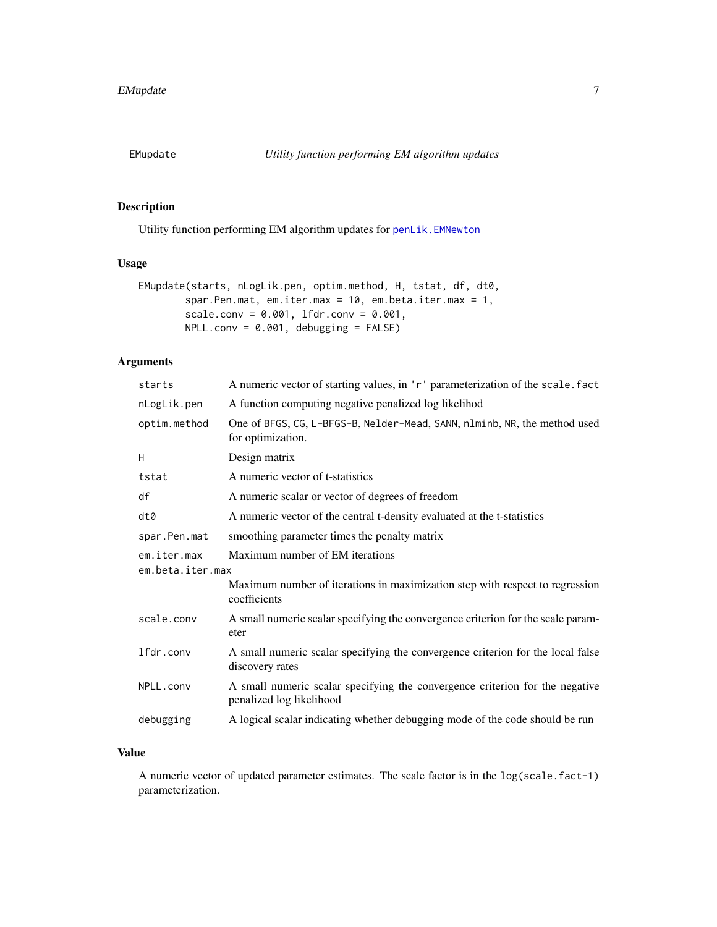<span id="page-6-1"></span><span id="page-6-0"></span>

# Description

Utility function performing EM algorithm updates for [penLik.EMNewton](#page-14-1)

# Usage

```
EMupdate(starts, nLogLik.pen, optim.method, H, tstat, df, dt0,
        spar.Pen.mat, em.iter.max = 10, em.beta.iter.max = 1,
        scale.conv = 0.001, lfdr.conv = 0.001,
        NPLL.comv = 0.001, debugging = FALSE)
```
# Arguments

| starts                          | A numeric vector of starting values, in 'r' parameterization of the scale. fact                          |
|---------------------------------|----------------------------------------------------------------------------------------------------------|
| nLogLik.pen                     | A function computing negative penalized log likelihod                                                    |
| optim.method                    | One of BFGS, CG, L-BFGS-B, Nelder-Mead, SANN, nlminb, NR, the method used<br>for optimization.           |
| H                               | Design matrix                                                                                            |
| tstat                           | A numeric vector of t-statistics                                                                         |
| df                              | A numeric scalar or vector of degrees of freedom                                                         |
| dt0                             | A numeric vector of the central t-density evaluated at the t-statistics                                  |
| spar.Pen.mat                    | smoothing parameter times the penalty matrix                                                             |
| em.iter.max<br>em.beta.iter.max | Maximum number of EM iterations                                                                          |
|                                 | Maximum number of iterations in maximization step with respect to regression<br>coefficients             |
| scale.conv                      | A small numeric scalar specifying the convergence criterion for the scale param-<br>eter                 |
| lfdr.conv                       | A small numeric scalar specifying the convergence criterion for the local false<br>discovery rates       |
| NPLL.conv                       | A small numeric scalar specifying the convergence criterion for the negative<br>penalized log likelihood |
| debugging                       | A logical scalar indicating whether debugging mode of the code should be run                             |

# Value

A numeric vector of updated parameter estimates. The scale factor is in the log(scale.fact-1) parameterization.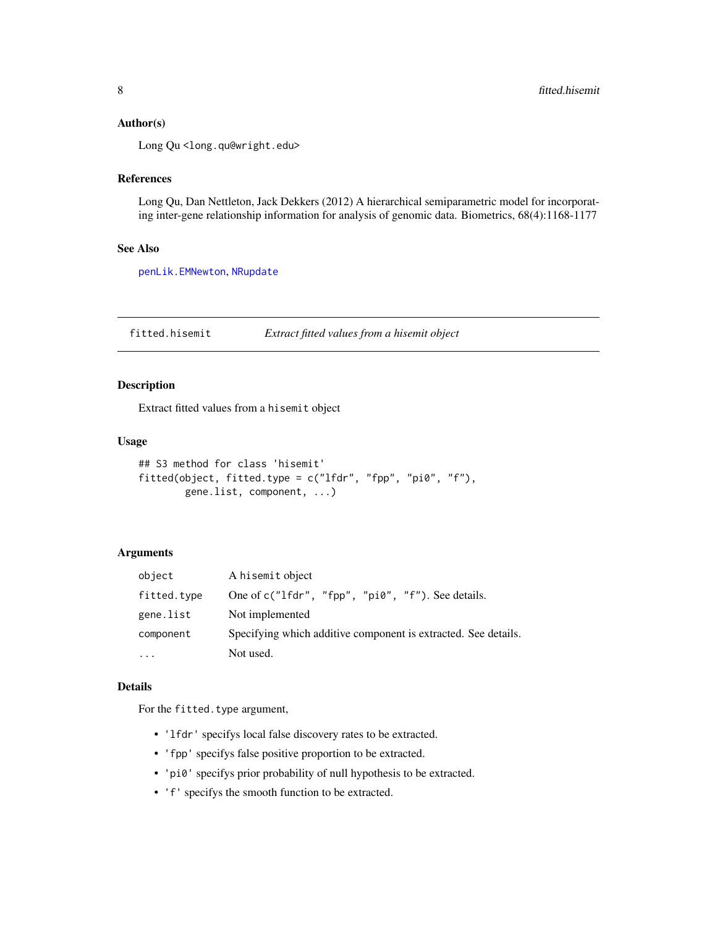# <span id="page-7-0"></span>Author(s)

Long Qu <long.qu@wright.edu>

#### References

Long Qu, Dan Nettleton, Jack Dekkers (2012) A hierarchical semiparametric model for incorporating inter-gene relationship information for analysis of genomic data. Biometrics, 68(4):1168-1177

#### See Also

[penLik.EMNewton](#page-14-1), [NRupdate](#page-12-1)

<span id="page-7-1"></span>fitted.hisemit *Extract fitted values from a hisemit object*

# Description

Extract fitted values from a hisemit object

#### Usage

```
## S3 method for class 'hisemit'
fitted(object, fitted.type = c("lfdr", "fpp", "pi0", "f"),
       gene.list, component, ...)
```
# Arguments

| object      | A hisemit object                                               |
|-------------|----------------------------------------------------------------|
| fitted.type | One of $c("lfdr", "fpp", "pi0", "f").$ See details.            |
| gene.list   | Not implemented                                                |
| component   | Specifying which additive component is extracted. See details. |
| $\cdot$     | Not used.                                                      |

# Details

For the fitted.type argument,

- 'lfdr' specifys local false discovery rates to be extracted.
- 'fpp' specifys false positive proportion to be extracted.
- 'pi0' specifys prior probability of null hypothesis to be extracted.
- 'f' specifys the smooth function to be extracted.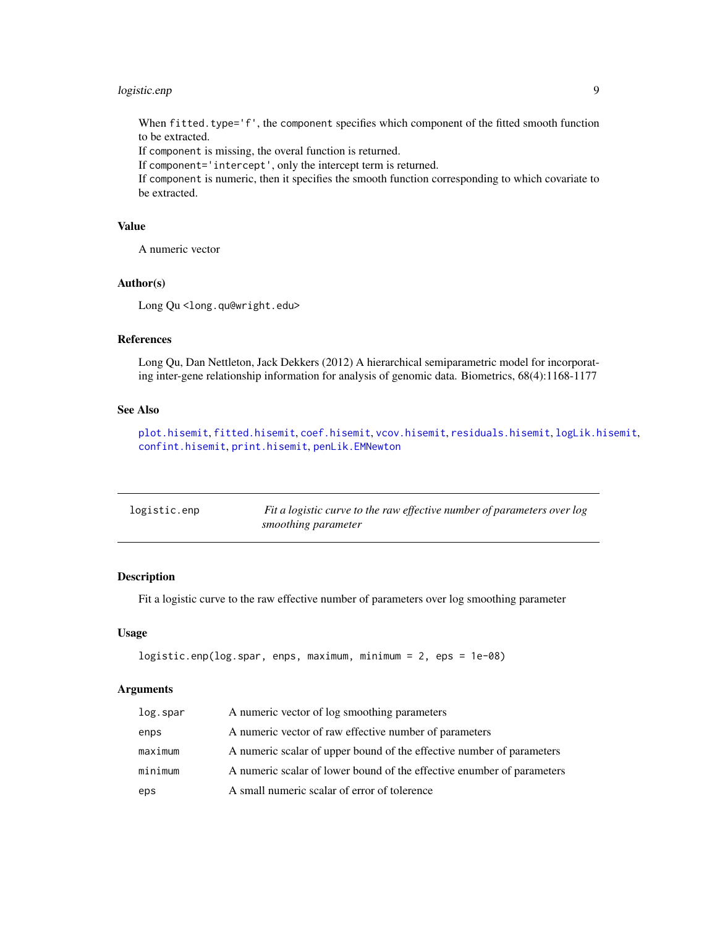# <span id="page-8-0"></span>logistic.enp 9

When fitted.type='f', the component specifies which component of the fitted smooth function to be extracted.

If component is missing, the overal function is returned.

If component='intercept', only the intercept term is returned.

If component is numeric, then it specifies the smooth function corresponding to which covariate to be extracted.

# Value

A numeric vector

#### Author(s)

Long Qu<long.qu@wright.edu>

# References

Long Qu, Dan Nettleton, Jack Dekkers (2012) A hierarchical semiparametric model for incorporating inter-gene relationship information for analysis of genomic data. Biometrics, 68(4):1168-1177

# See Also

[plot.hisemit](#page-17-1), [fitted.hisemit](#page-7-1), [coef.hisemit](#page-3-1), [vcov.hisemit](#page-26-1), [residuals.hisemit](#page-19-1), [logLik.hisemit](#page-10-1), [confint.hisemit](#page-4-1), [print.hisemit](#page-18-1), [penLik.EMNewton](#page-14-1)

| logistic.enp | Fit a logistic curve to the raw effective number of parameters over log |
|--------------|-------------------------------------------------------------------------|
|              | smoothing parameter                                                     |

# Description

Fit a logistic curve to the raw effective number of parameters over log smoothing parameter

#### Usage

```
logistic.enp(log.spar, enps, maximum, minimum = 2, eps = 1e-08)
```
# Arguments

| log.spar | A numeric vector of log smoothing parameters                           |
|----------|------------------------------------------------------------------------|
| enps     | A numeric vector of raw effective number of parameters                 |
| maximum  | A numeric scalar of upper bound of the effective number of parameters  |
| minimum  | A numeric scalar of lower bound of the effective enumber of parameters |
| eps      | A small numeric scalar of error of tolerence                           |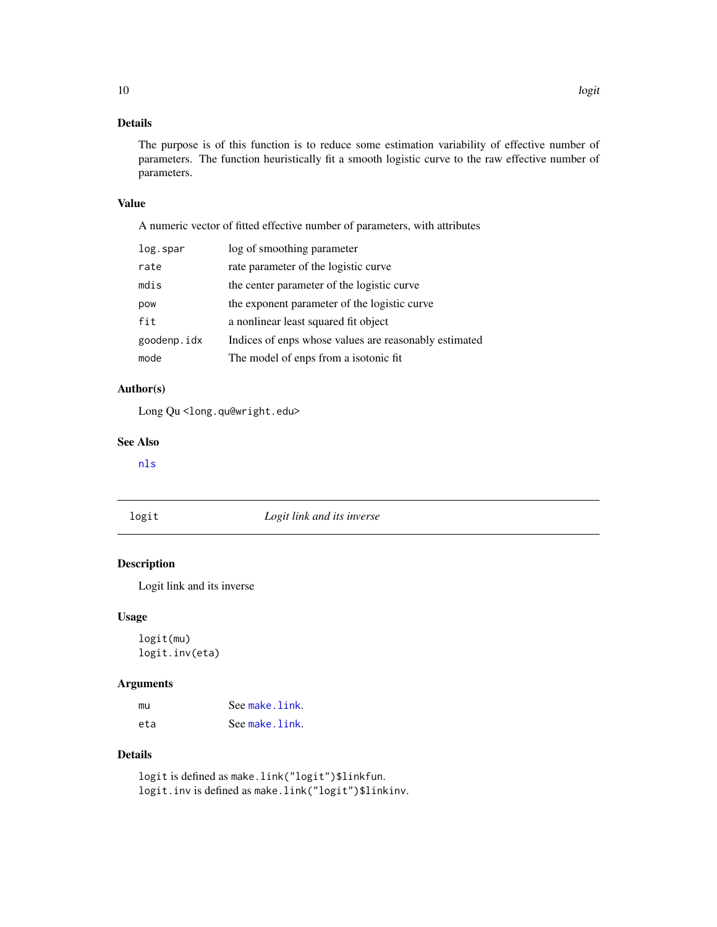# <span id="page-9-0"></span>Details

The purpose is of this function is to reduce some estimation variability of effective number of parameters. The function heuristically fit a smooth logistic curve to the raw effective number of parameters.

# Value

A numeric vector of fitted effective number of parameters, with attributes

| log.spar    | log of smoothing parameter                            |
|-------------|-------------------------------------------------------|
| rate        | rate parameter of the logistic curve                  |
| mdis        | the center parameter of the logistic curve            |
| pow         | the exponent parameter of the logistic curve          |
| fit         | a nonlinear least squared fit object                  |
| goodenp.idx | Indices of enps whose values are reasonably estimated |
| mode        | The model of enps from a isotonic fit                 |

# Author(s)

Long Qu<long.qu@wright.edu>

# See Also

[nls](#page-0-0)

# logit *Logit link and its inverse*

# Description

Logit link and its inverse

# Usage

logit(mu) logit.inv(eta)

# Arguments

| mu  | See make.link. |
|-----|----------------|
| eta | See make.link. |

# Details

logit is defined as make.link("logit")\$linkfun. logit.inv is defined as make.link("logit")\$linkinv.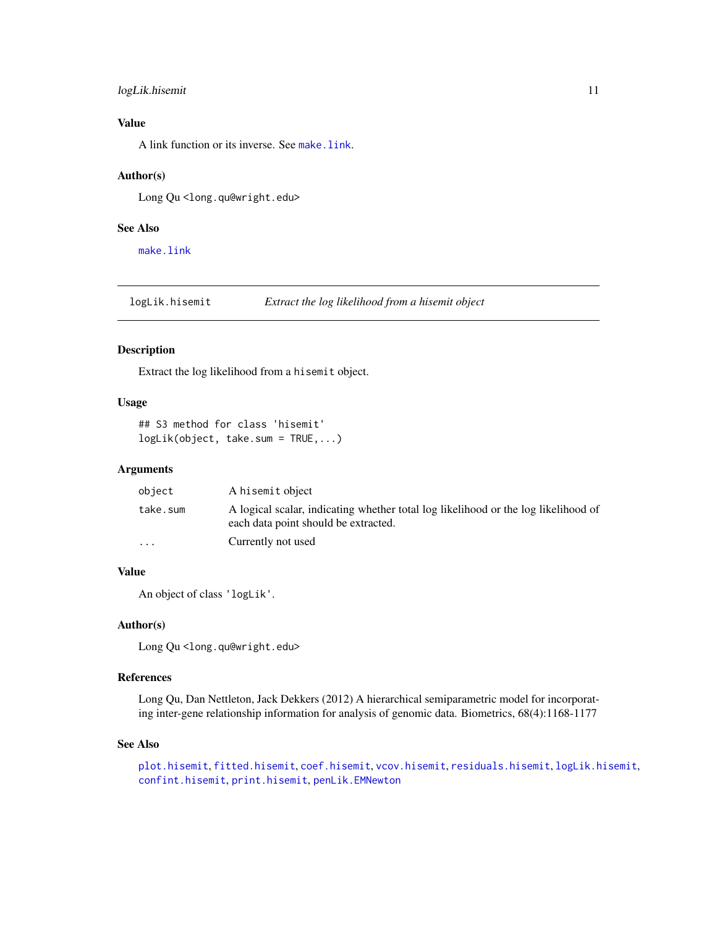# <span id="page-10-0"></span>logLik.hisemit 11

# Value

A link function or its inverse. See [make.link](#page-0-0).

# Author(s)

Long Qu <long.qu@wright.edu>

# See Also

[make.link](#page-0-0)

<span id="page-10-1"></span>logLik.hisemit *Extract the log likelihood from a hisemit object*

# Description

Extract the log likelihood from a hisemit object.

#### Usage

```
## S3 method for class 'hisemit'
logLik(object, take.sum = TRUE,...)
```
# Arguments

| object   | A hisemit object                                                                                                           |
|----------|----------------------------------------------------------------------------------------------------------------------------|
| take.sum | A logical scalar, indicating whether total log likelihood or the log likelihood of<br>each data point should be extracted. |
| $\cdots$ | Currently not used                                                                                                         |

# Value

An object of class 'logLik'.

# Author(s)

Long Qu <long.qu@wright.edu>

### References

Long Qu, Dan Nettleton, Jack Dekkers (2012) A hierarchical semiparametric model for incorporating inter-gene relationship information for analysis of genomic data. Biometrics, 68(4):1168-1177

#### See Also

[plot.hisemit](#page-17-1), [fitted.hisemit](#page-7-1), [coef.hisemit](#page-3-1), [vcov.hisemit](#page-26-1), [residuals.hisemit](#page-19-1), [logLik.hisemit](#page-10-1), [confint.hisemit](#page-4-1), [print.hisemit](#page-18-1), [penLik.EMNewton](#page-14-1)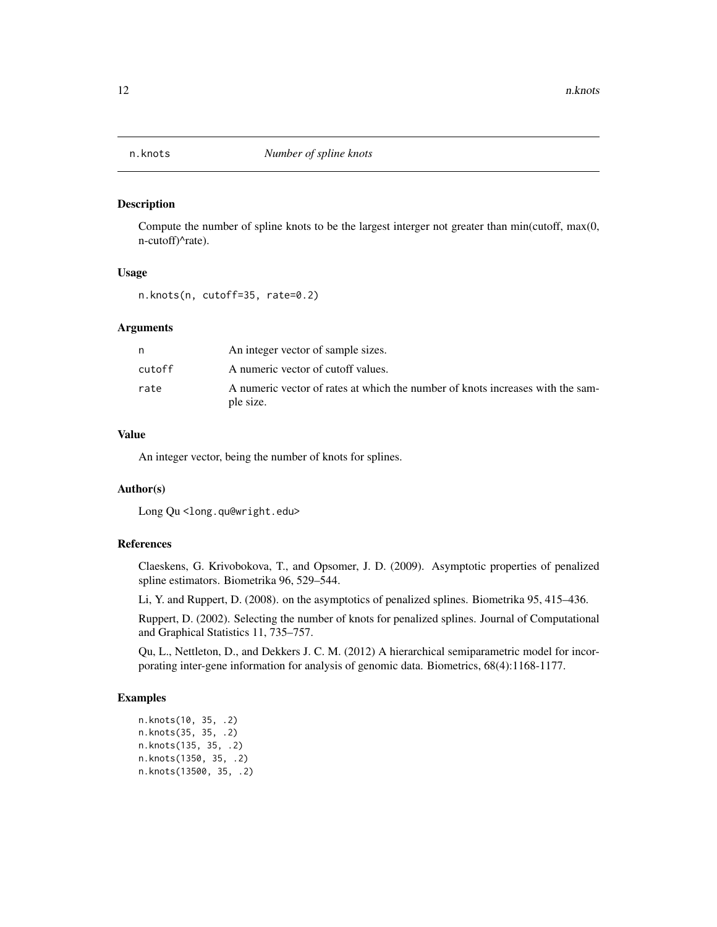<span id="page-11-0"></span>

#### Description

Compute the number of spline knots to be the largest interger not greater than min(cutoff, max(0, n-cutoff)^rate).

#### Usage

n.knots(n, cutoff=35, rate=0.2)

#### Arguments

|        | An integer vector of sample sizes.                                                          |
|--------|---------------------------------------------------------------------------------------------|
| cutoff | A numeric vector of cutoff values.                                                          |
| rate   | A numeric vector of rates at which the number of knots increases with the sam-<br>ple size. |

# Value

An integer vector, being the number of knots for splines.

# Author(s)

Long Qu<long.qu@wright.edu>

# References

Claeskens, G. Krivobokova, T., and Opsomer, J. D. (2009). Asymptotic properties of penalized spline estimators. Biometrika 96, 529–544.

Li, Y. and Ruppert, D. (2008). on the asymptotics of penalized splines. Biometrika 95, 415–436.

Ruppert, D. (2002). Selecting the number of knots for penalized splines. Journal of Computational and Graphical Statistics 11, 735–757.

Qu, L., Nettleton, D., and Dekkers J. C. M. (2012) A hierarchical semiparametric model for incorporating inter-gene information for analysis of genomic data. Biometrics, 68(4):1168-1177.

#### Examples

```
n.knots(10, 35, .2)
n.knots(35, 35, .2)
n.knots(135, 35, .2)
n.knots(1350, 35, .2)
n.knots(13500, 35, .2)
```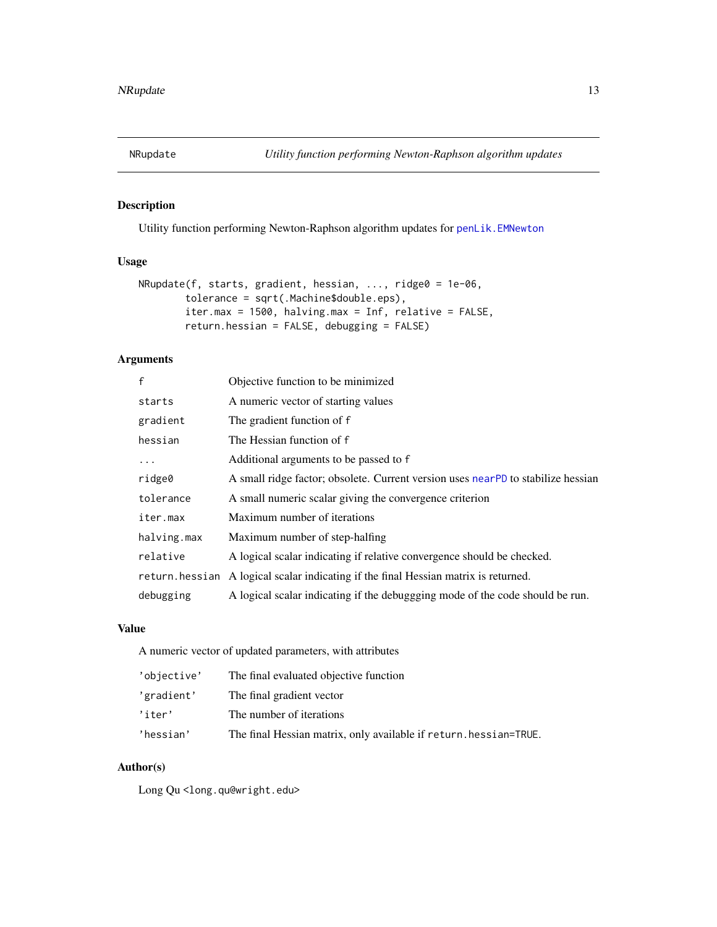<span id="page-12-1"></span><span id="page-12-0"></span>

# Description

Utility function performing Newton-Raphson algorithm updates for [penLik.EMNewton](#page-14-1)

# Usage

```
NRupdate(f, starts, gradient, hessian, ..., ridge0 = 1e-06,
       tolerance = sqrt(.Machine$double.eps),
       iter.max = 1500, halving.max = Inf, relative = FALSE,
       return.hessian = FALSE, debugging = FALSE)
```
# Arguments

| £              | Objective function to be minimized                                               |
|----------------|----------------------------------------------------------------------------------|
| starts         | A numeric vector of starting values                                              |
| gradient       | The gradient function of f                                                       |
| hessian        | The Hessian function of f                                                        |
| $\ddots$       | Additional arguments to be passed to f                                           |
| ridge0         | A small ridge factor; obsolete. Current version uses nearPD to stabilize hessian |
| tolerance      | A small numeric scalar giving the convergence criterion                          |
| iter.max       | Maximum number of iterations                                                     |
| halving.max    | Maximum number of step-halfing                                                   |
| relative       | A logical scalar indicating if relative convergence should be checked.           |
| return.hessian | A logical scalar indicating if the final Hessian matrix is returned.             |
| debugging      | A logical scalar indicating if the debuggging mode of the code should be run.    |

# Value

A numeric vector of updated parameters, with attributes

| 'objective' | The final evaluated objective function                            |
|-------------|-------------------------------------------------------------------|
| 'gradient'  | The final gradient vector                                         |
| 'iter'      | The number of iterations                                          |
| 'hessian'   | The final Hessian matrix, only available if return. hessian=TRUE. |

# Author(s)

Long Qu<long.qu@wright.edu>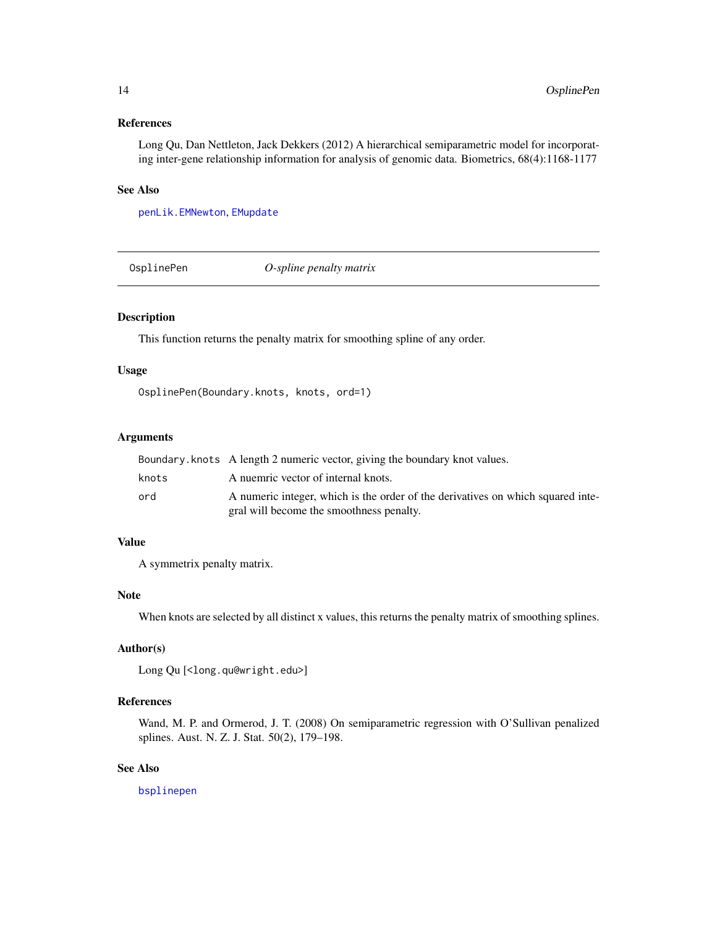# <span id="page-13-0"></span>References

Long Qu, Dan Nettleton, Jack Dekkers (2012) A hierarchical semiparametric model for incorporating inter-gene relationship information for analysis of genomic data. Biometrics, 68(4):1168-1177

# See Also

[penLik.EMNewton](#page-14-1), [EMupdate](#page-6-1)

OsplinePen *O-spline penalty matrix*

# Description

This function returns the penalty matrix for smoothing spline of any order.

#### Usage

```
OsplinePen(Boundary.knots, knots, ord=1)
```
# Arguments

|       | Boundary, knots A length 2 numeric vector, giving the boundary knot values.     |
|-------|---------------------------------------------------------------------------------|
| knots | A nuemric vector of internal knots.                                             |
| ord   | A numeric integer, which is the order of the derivatives on which squared inte- |
|       | gral will become the smoothness penalty.                                        |

# Value

A symmetrix penalty matrix.

# Note

When knots are selected by all distinct x values, this returns the penalty matrix of smoothing splines.

# Author(s)

```
Long Qu [<long.qu@wright.edu>]
```
# References

Wand, M. P. and Ormerod, J. T. (2008) On semiparametric regression with O'Sullivan penalized splines. Aust. N. Z. J. Stat. 50(2), 179–198.

#### See Also

[bsplinepen](#page-0-0)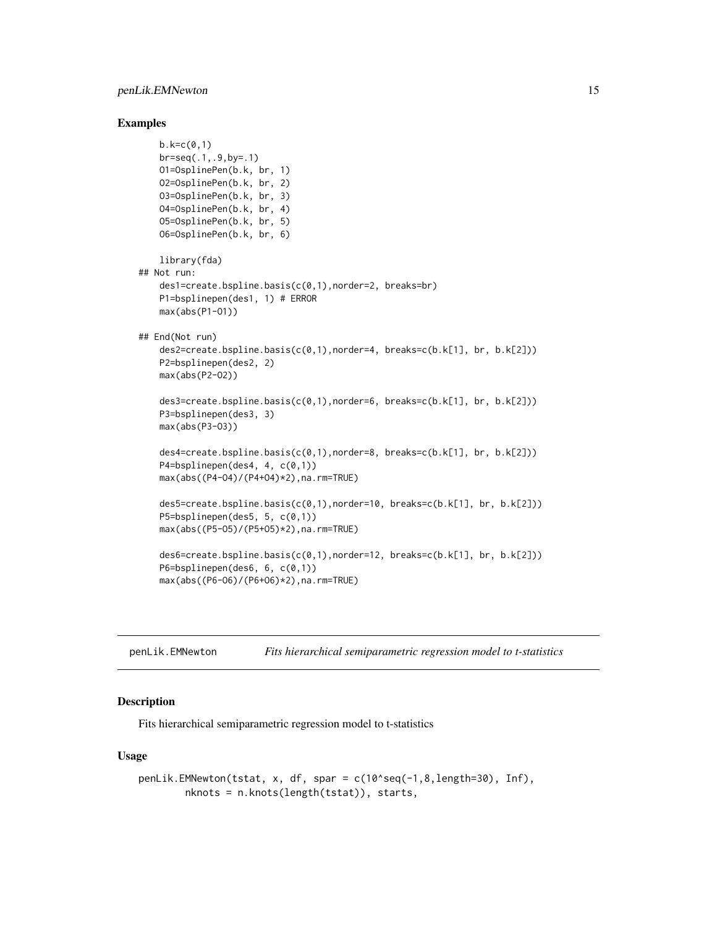#### <span id="page-14-0"></span>Examples

```
b. k = c(0, 1)br = seq(.1, .9, by = .1)O1=OsplinePen(b.k, br, 1)
   O2=OsplinePen(b.k, br, 2)
   O3=OsplinePen(b.k, br, 3)
   O4=OsplinePen(b.k, br, 4)
   O5=OsplinePen(b.k, br, 5)
    O6=OsplinePen(b.k, br, 6)
   library(fda)
## Not run:
   des1=create.bspline.basis(c(0,1),norder=2, breaks=br)
   P1=bsplinepen(des1, 1) # ERROR
   max(abs(P1-O1))
## End(Not run)
    des2=create.bspline.basis(c(0,1),norder=4, breaks=c(b.k[1], br, b.k[2]))
   P2=bsplinepen(des2, 2)
   max(abs(P2-O2))
    des3=create.bspline.basis(c(0,1),norder=6, breaks=c(b.k[1], br, b.k[2]))
   P3=bsplinepen(des3, 3)
    max(abs(P3-O3))
    des4=create.bspline.basis(c(0,1),norder=8, breaks=c(b.k[1], br, b.k[2]))
   P4=bsplinepen(des4, 4, c(0,1))
    max(abs((P4-O4)/(P4+O4)*2),na.rm=TRUE)
    des5=create.bspline.basis(c(0,1),norder=10, breaks=c(b.k[1], br, b.k[2]))
    P5=bsplinepen(des5, 5, c(0,1))
    max(abs((P5-O5)/(P5+O5)*2),na.rm=TRUE)
    des6=create.bspline.basis(c(0,1),norder=12, breaks=c(b.k[1], br, b.k[2]))
   P6=bsplinepen(des6, 6, c(0,1))
    max(abs((P6-O6)/(P6+O6)*2),na.rm=TRUE)
```
<span id="page-14-1"></span>penLik.EMNewton *Fits hierarchical semiparametric regression model to t-statistics*

# Description

Fits hierarchical semiparametric regression model to t-statistics

#### Usage

```
penLik.EMNewton(tstat, x, df, spar = c(10^seq(-1,8,length=30), Inf),
       nknots = n.knots(length(tstat)), starts,
```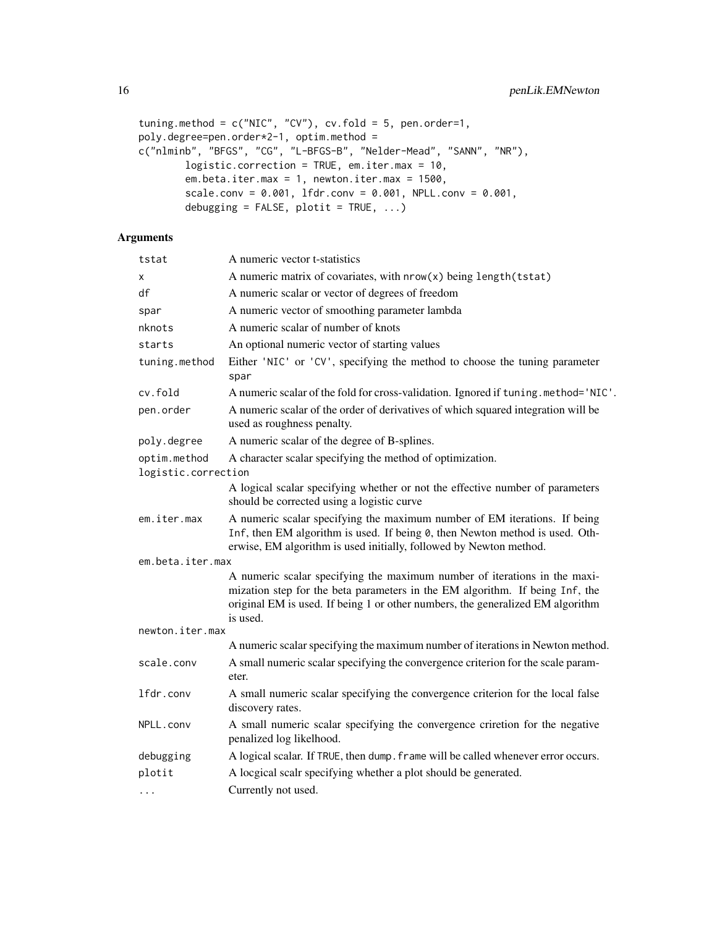```
tuning.method = c("NIC", "CV"), cv.fold = 5, pen.order=1,
poly.degree=pen.order*2-1, optim.method =
c("nlminb", "BFGS", "CG", "L-BFGS-B", "Nelder-Mead", "SANN", "NR"),
       logistic.correction = TRUE, em.iter.max = 10,
       em.beta.iter.max = 1, newton.iter.max = 1500,
       scale.conv = 0.001, lfdr.conv = 0.001, NPLL.conv = 0.001,
       debugging = FALSE, plotit = TRUE, ...
```
# Arguments

| tstat                               | A numeric vector t-statistics                                                                                                                                                                                                                           |
|-------------------------------------|---------------------------------------------------------------------------------------------------------------------------------------------------------------------------------------------------------------------------------------------------------|
| X                                   | A numeric matrix of covariates, with nrow(x) being length(tstat)                                                                                                                                                                                        |
| df                                  | A numeric scalar or vector of degrees of freedom                                                                                                                                                                                                        |
| spar                                | A numeric vector of smoothing parameter lambda                                                                                                                                                                                                          |
| nknots                              | A numeric scalar of number of knots                                                                                                                                                                                                                     |
| starts                              | An optional numeric vector of starting values                                                                                                                                                                                                           |
| tuning.method                       | Either 'NIC' or 'CV', specifying the method to choose the tuning parameter<br>spar                                                                                                                                                                      |
| cv.fold                             | A numeric scalar of the fold for cross-validation. Ignored if tuning.method='NIC'.                                                                                                                                                                      |
| pen.order                           | A numeric scalar of the order of derivatives of which squared integration will be<br>used as roughness penalty.                                                                                                                                         |
| poly.degree                         | A numeric scalar of the degree of B-splines.                                                                                                                                                                                                            |
| optim.method<br>logistic.correction | A character scalar specifying the method of optimization.                                                                                                                                                                                               |
|                                     | A logical scalar specifying whether or not the effective number of parameters<br>should be corrected using a logistic curve                                                                                                                             |
| em.iter.max                         | A numeric scalar specifying the maximum number of EM iterations. If being<br>Inf, then EM algorithm is used. If being 0, then Newton method is used. Oth-<br>erwise, EM algorithm is used initially, followed by Newton method.                         |
| em.beta.iter.max                    |                                                                                                                                                                                                                                                         |
|                                     | A numeric scalar specifying the maximum number of iterations in the maxi-<br>mization step for the beta parameters in the EM algorithm. If being Inf, the<br>original EM is used. If being 1 or other numbers, the generalized EM algorithm<br>is used. |
| newton.iter.max                     |                                                                                                                                                                                                                                                         |
|                                     | A numeric scalar specifying the maximum number of iterations in Newton method.                                                                                                                                                                          |
| scale.conv                          | A small numeric scalar specifying the convergence criterion for the scale param-<br>eter.                                                                                                                                                               |
| lfdr.conv                           | A small numeric scalar specifying the convergence criterion for the local false<br>discovery rates.                                                                                                                                                     |
| NPLL.conv                           | A small numeric scalar specifying the convergence criretion for the negative<br>penalized log likelhood.                                                                                                                                                |
| debugging                           | A logical scalar. If TRUE, then dump. frame will be called whenever error occurs.                                                                                                                                                                       |
| plotit                              | A locgical scalr specifying whether a plot should be generated.                                                                                                                                                                                         |
| $\cdot$ $\cdot$ $\cdot$             | Currently not used.                                                                                                                                                                                                                                     |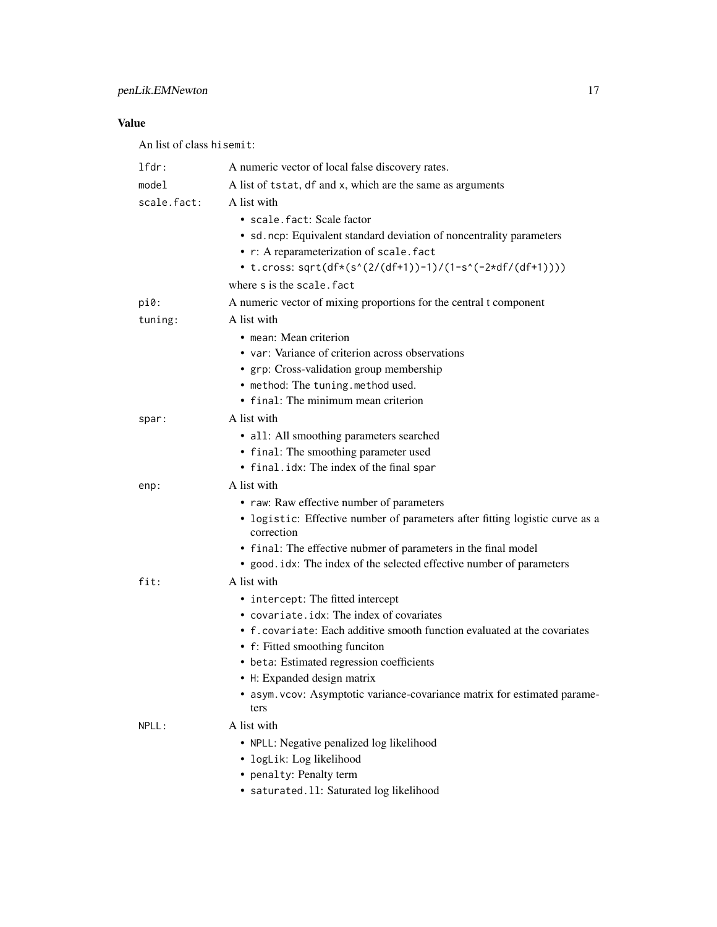# Value

An list of class hisemit:

| $1$ fdr:    | A numeric vector of local false discovery rates.                                                                          |
|-------------|---------------------------------------------------------------------------------------------------------------------------|
| model       | A list of tstat, df and x, which are the same as arguments                                                                |
| scale.fact: | A list with                                                                                                               |
|             | · scale.fact: Scale factor                                                                                                |
|             | • sd. ncp: Equivalent standard deviation of noncentrality parameters                                                      |
|             | • r: A reparameterization of scale. fact                                                                                  |
|             | • t.cross: sqrt(df*(s^(2/(df+1))-1)/(1-s^(-2*df/(df+1))))                                                                 |
|             | where s is the scale. fact                                                                                                |
| $pi0$ :     | A numeric vector of mixing proportions for the central t component                                                        |
| tuning:     | A list with                                                                                                               |
|             | • mean: Mean criterion                                                                                                    |
|             | • var: Variance of criterion across observations                                                                          |
|             | • grp: Cross-validation group membership                                                                                  |
|             | • method: The tuning.method used.                                                                                         |
|             | • final: The minimum mean criterion                                                                                       |
| spar:       | A list with                                                                                                               |
|             | • all: All smoothing parameters searched                                                                                  |
|             | • final: The smoothing parameter used                                                                                     |
|             | • final.idx: The index of the final spar<br>A list with                                                                   |
| enp:        |                                                                                                                           |
|             | • raw: Raw effective number of parameters<br>• logistic: Effective number of parameters after fitting logistic curve as a |
|             | correction                                                                                                                |
|             | • final: The effective nubmer of parameters in the final model                                                            |
|             | • good.idx: The index of the selected effective number of parameters                                                      |
| fit:        | A list with                                                                                                               |
|             | • intercept: The fitted intercept                                                                                         |
|             | • covariate.idx: The index of covariates                                                                                  |
|             | • f. covariate: Each additive smooth function evaluated at the covariates                                                 |
|             | • f: Fitted smoothing funciton                                                                                            |
|             | • beta: Estimated regression coefficients<br>• H: Expanded design matrix                                                  |
|             | • asym.vcov: Asymptotic variance-covariance matrix for estimated parame-                                                  |
|             | ters                                                                                                                      |
| NPLL:       | A list with                                                                                                               |
|             | • NPLL: Negative penalized log likelihood                                                                                 |
|             | · logLik: Log likelihood                                                                                                  |
|             | • penalty: Penalty term                                                                                                   |
|             | · saturated.11: Saturated log likelihood                                                                                  |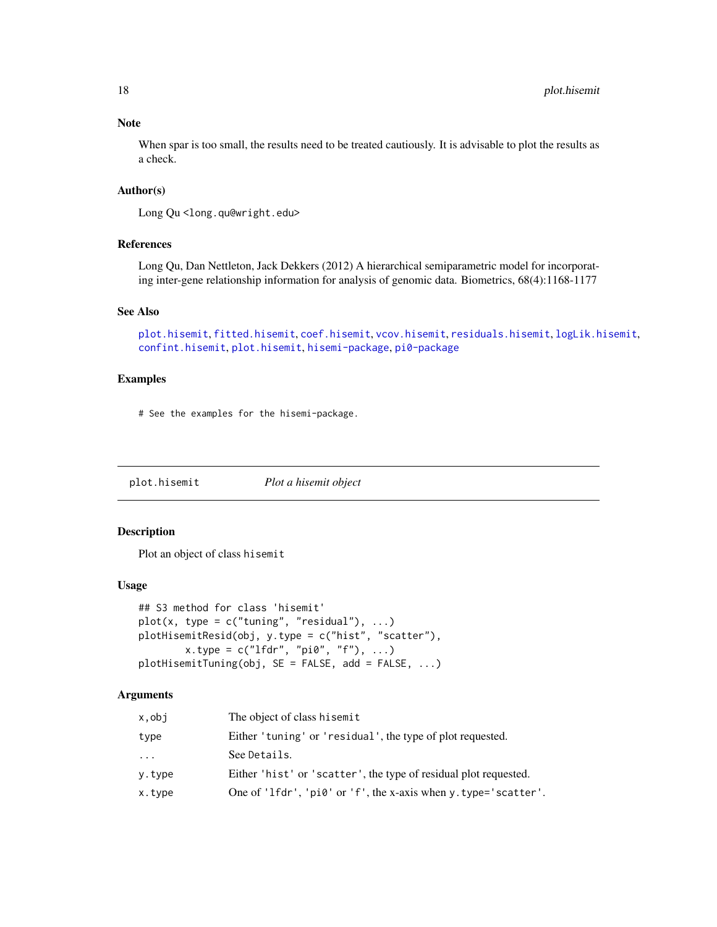# Note

When spar is too small, the results need to be treated cautiously. It is advisable to plot the results as a check.

# Author(s)

Long Qu <long.qu@wright.edu>

# References

Long Qu, Dan Nettleton, Jack Dekkers (2012) A hierarchical semiparametric model for incorporating inter-gene relationship information for analysis of genomic data. Biometrics, 68(4):1168-1177

#### See Also

```
plot.hisemitfitted.hisemitcoef.hisemitvcov.hisemitresiduals.hisemitlogLik.hisemit,
confint.hisemit, plot.hisemit, hisemi-package, pi0-package
```
# Examples

# See the examples for the hisemi-package.

<span id="page-17-1"></span>plot.hisemit *Plot a hisemit object*

### Description

Plot an object of class hisemit

# Usage

```
## S3 method for class 'hisemit'
plot(x, type = c("tuning", "residual"), ...)plotHisemitResid(obj, y.type = c("hist", "scatter"),
       x.type = c("lfdr", "pi0", "f"), ...)plotHisemitTuning(obj, SE = FALSE, add = FALSE, ...)
```
# Arguments

| x,obj  | The object of class hisemit                                      |
|--------|------------------------------------------------------------------|
| type   | Either 'tuning' or 'residual', the type of plot requested.       |
| .      | See Details.                                                     |
| y.type | Either 'hist' or 'scatter', the type of residual plot requested. |
| x.type | One of 'lfdr', 'pi0' or 'f', the x-axis when y.type='scatter'.   |

<span id="page-17-0"></span>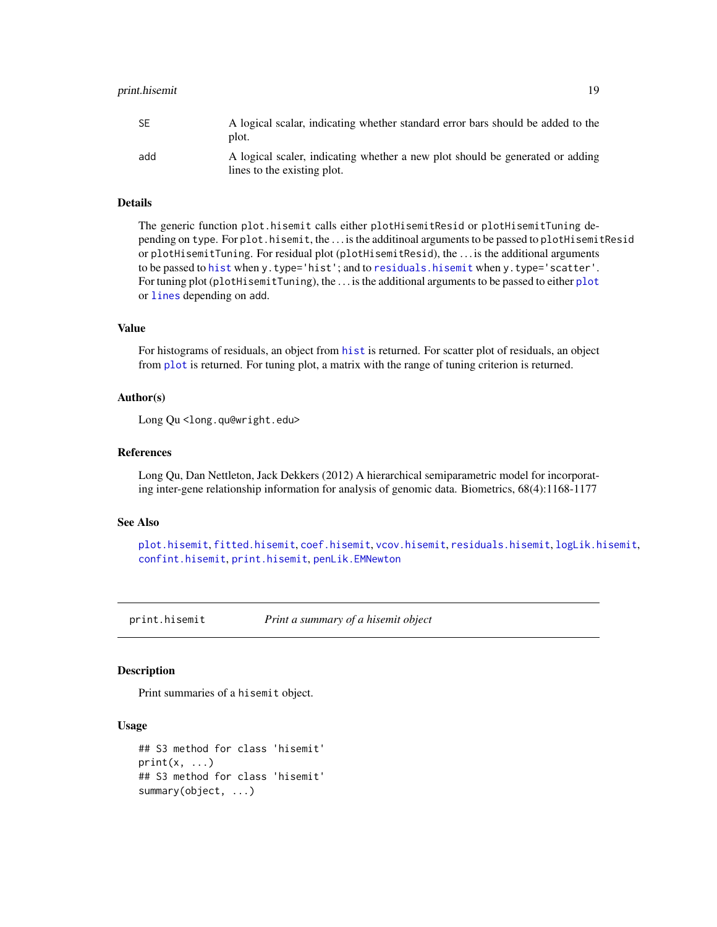# <span id="page-18-0"></span>print.hisemit 19

| SE  | A logical scalar, indicating whether standard error bars should be added to the<br>plot.                     |
|-----|--------------------------------------------------------------------------------------------------------------|
| add | A logical scaler, indicating whether a new plot should be generated or adding<br>lines to the existing plot. |

#### Details

The generic function plot.hisemit calls either plotHisemitResid or plotHisemitTuning depending on type. For plot.hisemit, the . . . is the additinoal arguments to be passed to plotHisemitResid or plotHisemitTuning. For residual plot (plotHisemitResid), the . . . is the additional arguments to be passed to [hist](#page-0-0) when y.type='hist'; and to [residuals.hisemit](#page-19-1) when y.type='scatter'. For tuning plot (plotHisemitTuning), the . . . is the additional arguments to be passed to either [plot](#page-0-0) or [lines](#page-0-0) depending on add.

# Value

For histograms of residuals, an object from [hist](#page-0-0) is returned. For scatter plot of residuals, an object from [plot](#page-0-0) is returned. For tuning plot, a matrix with the range of tuning criterion is returned.

#### Author(s)

Long Qu <long.qu@wright.edu>

# References

Long Qu, Dan Nettleton, Jack Dekkers (2012) A hierarchical semiparametric model for incorporating inter-gene relationship information for analysis of genomic data. Biometrics, 68(4):1168-1177

#### See Also

```
plot.hisemit, fitted.hisemit, coef.hisemit, vcov.hisemit, residuals.hisemit, logLik.hisemit,
confint.hisemit, print.hisemit, penLik.EMNewton
```
<span id="page-18-1"></span>print.hisemit *Print a summary of a hisemit object*

#### Description

Print summaries of a hisemit object.

#### Usage

```
## S3 method for class 'hisemit'
print(x, \ldots)## S3 method for class 'hisemit'
summary(object, ...)
```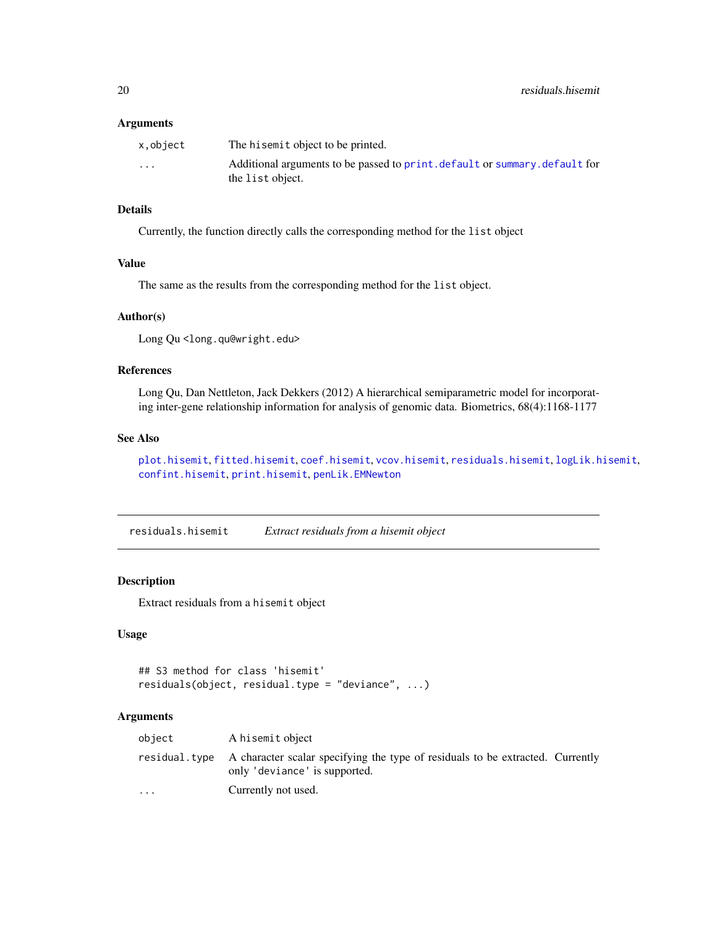#### <span id="page-19-0"></span>Arguments

| x.object | The hisemit object to be printed.                                           |
|----------|-----------------------------------------------------------------------------|
| $\cdots$ | Additional arguments to be passed to print. default or summary. default for |
|          | the list object.                                                            |

# Details

Currently, the function directly calls the corresponding method for the list object

# Value

The same as the results from the corresponding method for the list object.

# Author(s)

Long Qu <long.qu@wright.edu>

#### References

Long Qu, Dan Nettleton, Jack Dekkers (2012) A hierarchical semiparametric model for incorporating inter-gene relationship information for analysis of genomic data. Biometrics, 68(4):1168-1177

# See Also

[plot.hisemit](#page-17-1), [fitted.hisemit](#page-7-1), [coef.hisemit](#page-3-1), [vcov.hisemit](#page-26-1), [residuals.hisemit](#page-19-1), [logLik.hisemit](#page-10-1), [confint.hisemit](#page-4-1), [print.hisemit](#page-18-1), [penLik.EMNewton](#page-14-1)

<span id="page-19-1"></span>residuals.hisemit *Extract residuals from a hisemit object*

#### Description

Extract residuals from a hisemit object

# Usage

```
## S3 method for class 'hisemit'
residuals(object, residual.type = "deviance", ...)
```
# Arguments

| object                  | A hisemit object                                                                                                              |  |
|-------------------------|-------------------------------------------------------------------------------------------------------------------------------|--|
|                         | residual.type A character scalar specifying the type of residuals to be extracted. Currently<br>only 'deviance' is supported. |  |
| $\cdot$ $\cdot$ $\cdot$ | Currently not used.                                                                                                           |  |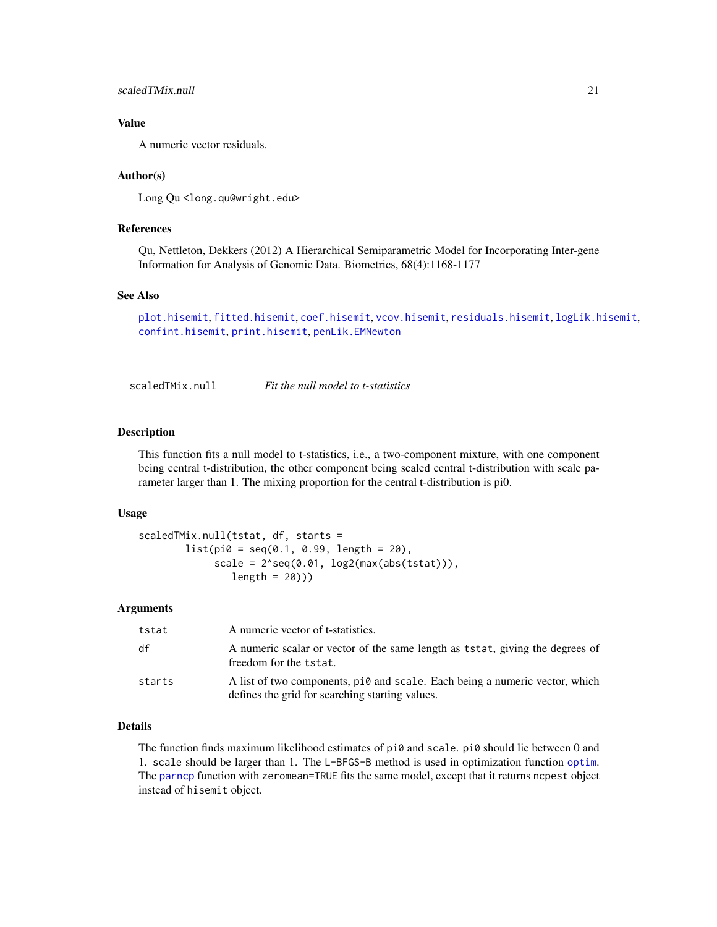# <span id="page-20-0"></span>scaledTMix.null 21

# Value

A numeric vector residuals.

#### Author(s)

Long Qu<long.qu@wright.edu>

# References

Qu, Nettleton, Dekkers (2012) A Hierarchical Semiparametric Model for Incorporating Inter-gene Information for Analysis of Genomic Data. Biometrics, 68(4):1168-1177

#### See Also

[plot.hisemit](#page-17-1), [fitted.hisemit](#page-7-1), [coef.hisemit](#page-3-1), [vcov.hisemit](#page-26-1), [residuals.hisemit](#page-19-1), [logLik.hisemit](#page-10-1), [confint.hisemit](#page-4-1), [print.hisemit](#page-18-1), [penLik.EMNewton](#page-14-1)

<span id="page-20-1"></span>scaledTMix.null *Fit the null model to t-statistics*

#### **Description**

This function fits a null model to t-statistics, i.e., a two-component mixture, with one component being central t-distribution, the other component being scaled central t-distribution with scale parameter larger than 1. The mixing proportion for the central t-distribution is pi0.

#### Usage

```
scaledTMix.null(tstat, df, starts =
       list(pi0 = seq(0.1, 0.99, length = 20),
             scale = 2*seq(0.01, log2(max(abs(tstat))),length = 20))
```
#### Arguments

| tstat  | A numeric vector of t-statistics.                                                                                              |
|--------|--------------------------------------------------------------------------------------------------------------------------------|
| df     | A numeric scalar or vector of the same length as tstat, giving the degrees of<br>freedom for the tstat.                        |
| starts | A list of two components, pi0 and scale. Each being a numeric vector, which<br>defines the grid for searching starting values. |

#### Details

The function finds maximum likelihood estimates of pi0 and scale. pi0 should lie between 0 and 1. scale should be larger than 1. The L-BFGS-B method is used in optimization function [optim](#page-0-0). The [parncp](#page-0-0) function with zeromean=TRUE fits the same model, except that it returns ncpest object instead of hisemit object.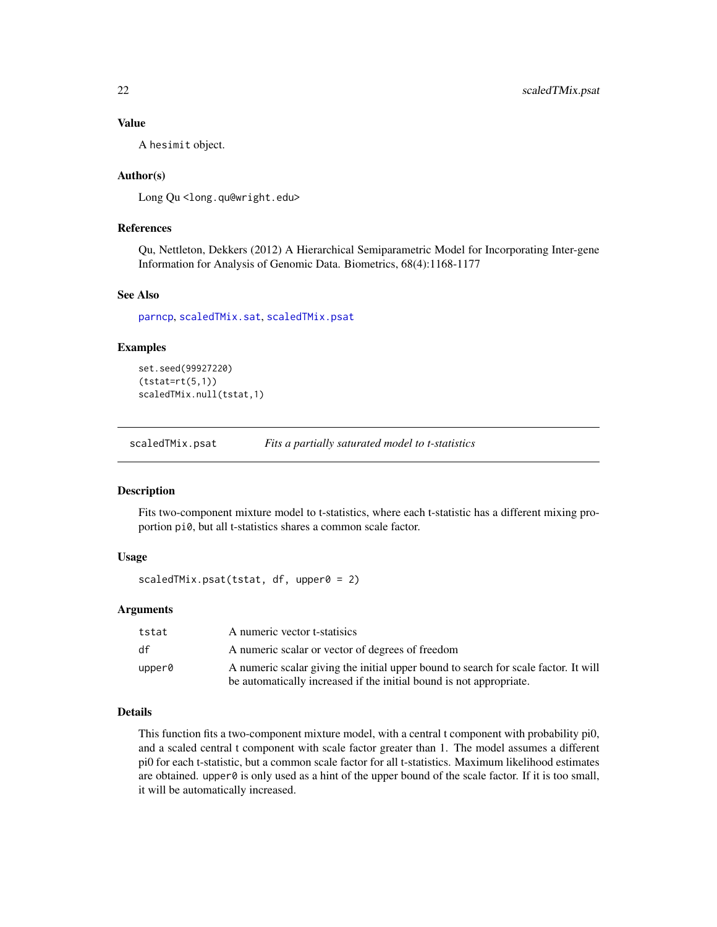#### Value

A hesimit object.

# Author(s)

Long Qu <long.qu@wright.edu>

# References

Qu, Nettleton, Dekkers (2012) A Hierarchical Semiparametric Model for Incorporating Inter-gene Information for Analysis of Genomic Data. Biometrics, 68(4):1168-1177

# See Also

[parncp](#page-0-0), [scaledTMix.sat](#page-22-1), [scaledTMix.psat](#page-21-1)

# Examples

```
set.seed(99927220)
(tstat=rt(5,1))scaledTMix.null(tstat,1)
```
<span id="page-21-1"></span>scaledTMix.psat *Fits a partially saturated model to t-statistics*

# Description

Fits two-component mixture model to t-statistics, where each t-statistic has a different mixing proportion pi0, but all t-statistics shares a common scale factor.

#### Usage

```
scaledTMix.psat(tstat, df, upper0 = 2)
```
# Arguments

| tstat  | A numeric vector t-statisics                                                        |
|--------|-------------------------------------------------------------------------------------|
| df     | A numeric scalar or vector of degrees of freedom                                    |
| upper0 | A numeric scalar giving the initial upper bound to search for scale factor. It will |
|        | be automatically increased if the initial bound is not appropriate.                 |

#### Details

This function fits a two-component mixture model, with a central t component with probability pi0, and a scaled central t component with scale factor greater than 1. The model assumes a different pi0 for each t-statistic, but a common scale factor for all t-statistics. Maximum likelihood estimates are obtained. upper $\theta$  is only used as a hint of the upper bound of the scale factor. If it is too small, it will be automatically increased.

<span id="page-21-0"></span>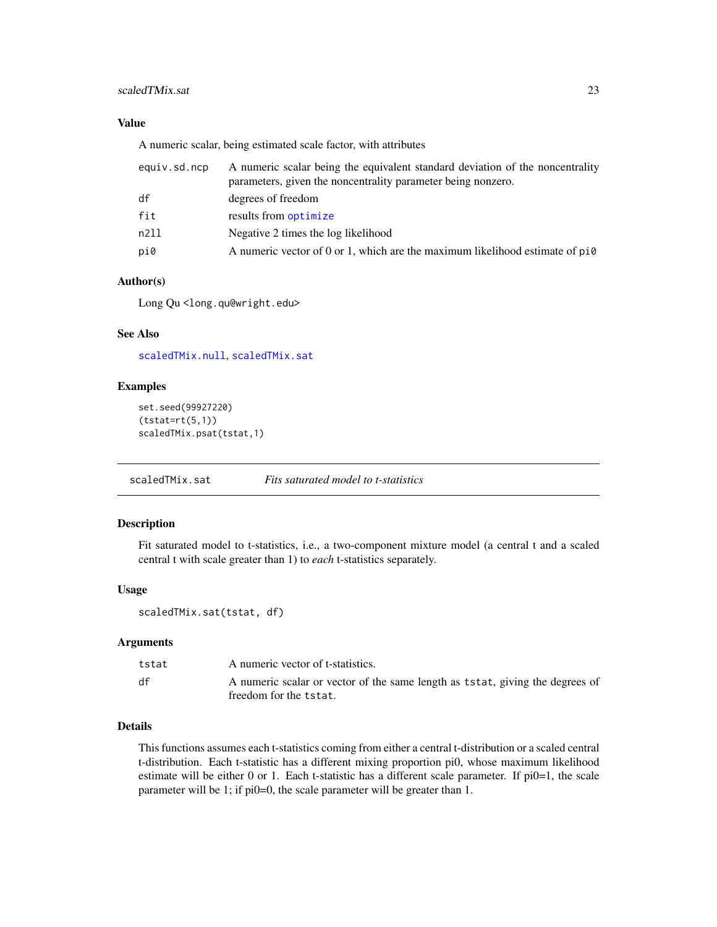# <span id="page-22-0"></span>scaledTMix.sat 23

# Value

A numeric scalar, being estimated scale factor, with attributes

| equiv.sd.ncp | A numeric scalar being the equivalent standard deviation of the noncentrality<br>parameters, given the noncentrality parameter being nonzero. |
|--------------|-----------------------------------------------------------------------------------------------------------------------------------------------|
| df           | degrees of freedom                                                                                                                            |
| fit          | results from optimize                                                                                                                         |
| n211         | Negative 2 times the log likelihood                                                                                                           |
| pi0          | A numeric vector of 0 or 1, which are the maximum likelihood estimate of $pi0$                                                                |

# Author(s)

Long Qu<long.qu@wright.edu>

# See Also

[scaledTMix.null](#page-20-1), [scaledTMix.sat](#page-22-1)

# Examples

```
set.seed(99927220)
(tstat=rt(5,1))scaledTMix.psat(tstat,1)
```
<span id="page-22-1"></span>scaledTMix.sat *Fits saturated model to t-statistics*

# Description

Fit saturated model to t-statistics, i.e., a two-component mixture model (a central t and a scaled central t with scale greater than 1) to *each* t-statistics separately.

#### Usage

```
scaledTMix.sat(tstat, df)
```
#### Arguments

| tstat | A numeric vector of t-statistics.                                                                       |
|-------|---------------------------------------------------------------------------------------------------------|
| df    | A numeric scalar or vector of the same length as tstat, giving the degrees of<br>freedom for the tstat. |

#### Details

This functions assumes each t-statistics coming from either a central t-distribution or a scaled central t-distribution. Each t-statistic has a different mixing proportion pi0, whose maximum likelihood estimate will be either 0 or 1. Each t-statistic has a different scale parameter. If  $pi0=1$ , the scale parameter will be 1; if pi0=0, the scale parameter will be greater than 1.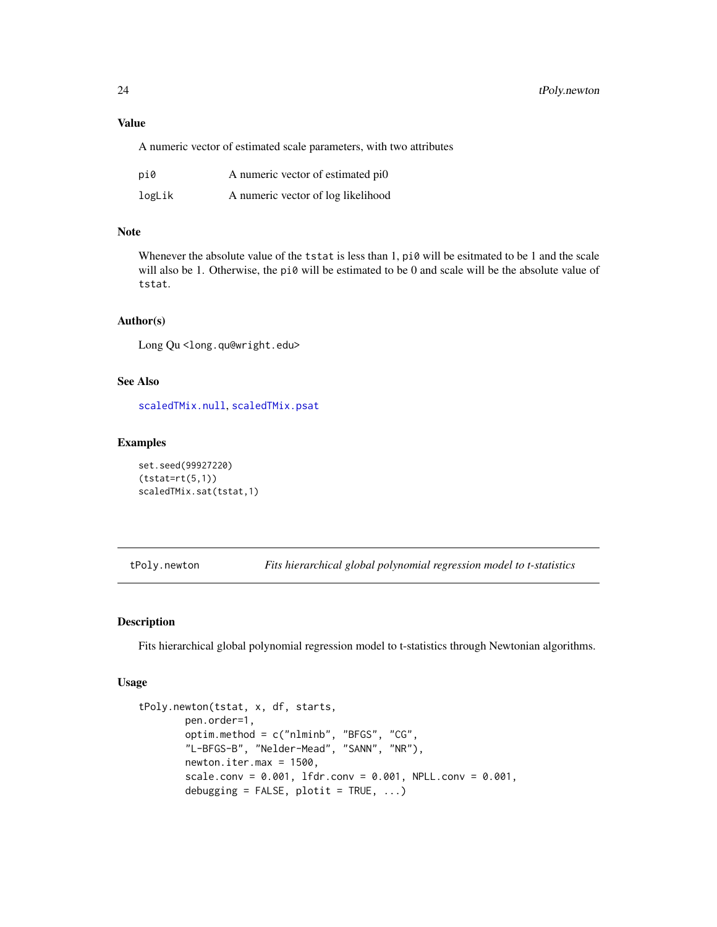# Value

A numeric vector of estimated scale parameters, with two attributes

| pi0    | A numeric vector of estimated pi0  |
|--------|------------------------------------|
| logLik | A numeric vector of log likelihood |

# Note

Whenever the absolute value of the tstat is less than 1, pi0 will be esitmated to be 1 and the scale will also be 1. Otherwise, the pi0 will be estimated to be 0 and scale will be the absolute value of tstat.

#### Author(s)

Long Qu <long.qu@wright.edu>

# See Also

[scaledTMix.null](#page-20-1), [scaledTMix.psat](#page-21-1)

#### Examples

set.seed(99927220)  $(tstat=rt(5,1))$ scaledTMix.sat(tstat,1)

tPoly.newton *Fits hierarchical global polynomial regression model to t-statistics*

# Description

Fits hierarchical global polynomial regression model to t-statistics through Newtonian algorithms.

#### Usage

```
tPoly.newton(tstat, x, df, starts,
        pen.order=1,
        optim.method = c("nlminb", "BFGS", "CG",
        "L-BFGS-B", "Nelder-Mead", "SANN", "NR"),
        newton.iter.max = 1500,
        scale.conv = 0.001, lfdr.conv = 0.001, NPLL.conv = 0.001,
        debugging = FALSE, plotit = TRUE, \ldots)
```
<span id="page-23-0"></span>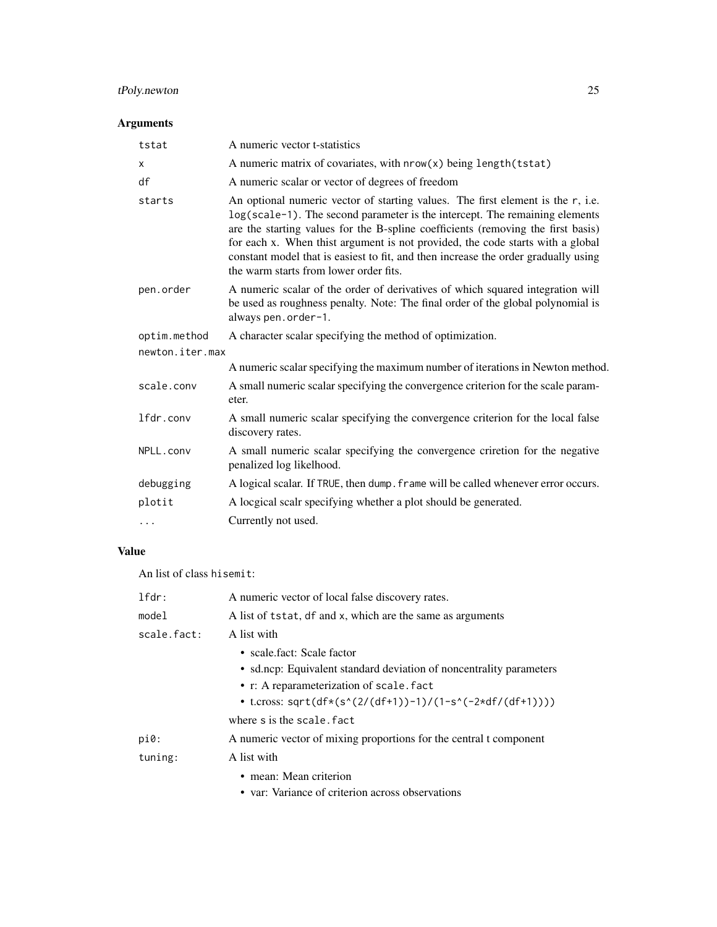# tPoly.newton 25

# Arguments

| tstat           | A numeric vector t-statistics                                                                                                                                                                                                                                                                                                                                                                                                                                        |  |
|-----------------|----------------------------------------------------------------------------------------------------------------------------------------------------------------------------------------------------------------------------------------------------------------------------------------------------------------------------------------------------------------------------------------------------------------------------------------------------------------------|--|
| $\times$        | A numeric matrix of covariates, with nrow(x) being length(tstat)                                                                                                                                                                                                                                                                                                                                                                                                     |  |
| df              | A numeric scalar or vector of degrees of freedom                                                                                                                                                                                                                                                                                                                                                                                                                     |  |
| starts          | An optional numeric vector of starting values. The first element is the r, i.e.<br>log(scale-1). The second parameter is the intercept. The remaining elements<br>are the starting values for the B-spline coefficients (removing the first basis)<br>for each x. When thist argument is not provided, the code starts with a global<br>constant model that is easiest to fit, and then increase the order gradually using<br>the warm starts from lower order fits. |  |
| pen.order       | A numeric scalar of the order of derivatives of which squared integration will<br>be used as roughness penalty. Note: The final order of the global polynomial is<br>always pen.order-1.                                                                                                                                                                                                                                                                             |  |
| optim.method    | A character scalar specifying the method of optimization.                                                                                                                                                                                                                                                                                                                                                                                                            |  |
| newton.iter.max |                                                                                                                                                                                                                                                                                                                                                                                                                                                                      |  |
|                 | A numeric scalar specifying the maximum number of iterations in Newton method.                                                                                                                                                                                                                                                                                                                                                                                       |  |
| scale.conv      | A small numeric scalar specifying the convergence criterion for the scale param-<br>eter.                                                                                                                                                                                                                                                                                                                                                                            |  |
| lfdr.conv       | A small numeric scalar specifying the convergence criterion for the local false<br>discovery rates.                                                                                                                                                                                                                                                                                                                                                                  |  |
| NPLL.conv       | A small numeric scalar specifying the convergence criretion for the negative<br>penalized log likelhood.                                                                                                                                                                                                                                                                                                                                                             |  |
| debugging       | A logical scalar. If TRUE, then dump. frame will be called whenever error occurs.                                                                                                                                                                                                                                                                                                                                                                                    |  |
| plotit          | A locgical scalr specifying whether a plot should be generated.                                                                                                                                                                                                                                                                                                                                                                                                      |  |
| .               | Currently not used.                                                                                                                                                                                                                                                                                                                                                                                                                                                  |  |

# Value

An list of class hisemit:

| $1$ fdr:    | A numeric vector of local false discovery rates.                    |
|-------------|---------------------------------------------------------------------|
| model       | A list of tstat, df and x, which are the same as arguments          |
| scale.fact: | A list with                                                         |
|             | • scale fact: Scale factor                                          |
|             | • sd.ncp: Equivalent standard deviation of noncentrality parameters |
|             | • r: A reparameterization of scale. fact                            |
|             | • t.cross: sqrt(df*(s^(2/(df+1))-1)/(1-s^(-2*df/(df+1))))           |
|             | where s is the scale, fact                                          |
| $pi0$ :     | A numeric vector of mixing proportions for the central t component  |
| tuning:     | A list with                                                         |
|             | • mean: Mean criterion                                              |
|             | • var: Variance of criterion across observations                    |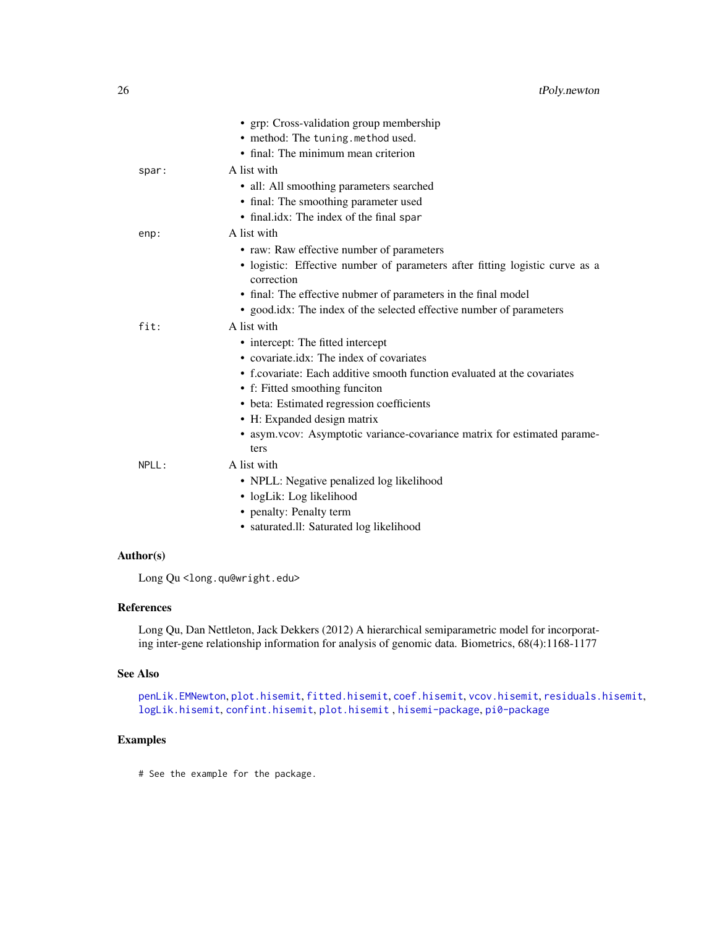<span id="page-25-0"></span>

|       | • grp: Cross-validation group membership                                                   |
|-------|--------------------------------------------------------------------------------------------|
|       | • method: The tuning.method used.                                                          |
|       | • final: The minimum mean criterion                                                        |
| spar: | A list with                                                                                |
|       | • all: All smoothing parameters searched                                                   |
|       | • final: The smoothing parameter used                                                      |
|       | • final.idx: The index of the final spar                                                   |
| enp:  | A list with                                                                                |
|       | • raw: Raw effective number of parameters                                                  |
|       | · logistic: Effective number of parameters after fitting logistic curve as a<br>correction |
|       | • final: The effective nubmer of parameters in the final model                             |
|       | • good.idx: The index of the selected effective number of parameters                       |
| fit:  | A list with                                                                                |
|       | • intercept: The fitted intercept                                                          |
|       | • covariate.idx: The index of covariates                                                   |
|       | • f.covariate: Each additive smooth function evaluated at the covariates                   |
|       | • f: Fitted smoothing funciton                                                             |
|       | • beta: Estimated regression coefficients                                                  |
|       | • H: Expanded design matrix                                                                |
|       | • asym.vcov: Asymptotic variance-covariance matrix for estimated parame-<br>ters           |
| NPLL: | A list with                                                                                |
|       | • NPLL: Negative penalized log likelihood                                                  |
|       | · logLik: Log likelihood                                                                   |
|       | • penalty: Penalty term                                                                    |
|       | • saturated.ll: Saturated log likelihood                                                   |
|       |                                                                                            |

# Author(s)

Long Qu<long.qu@wright.edu>

# References

Long Qu, Dan Nettleton, Jack Dekkers (2012) A hierarchical semiparametric model for incorporating inter-gene relationship information for analysis of genomic data. Biometrics, 68(4):1168-1177

# See Also

```
penLik.EMNewton, plot.hisemit, fitted.hisemit, coef.hisemit, vcov.hisemit, residuals.hisemit,
logLik.hisemit, confint.hisemit, plot.hisemit , hisemi-package, pi0-package
```
# Examples

# See the example for the package.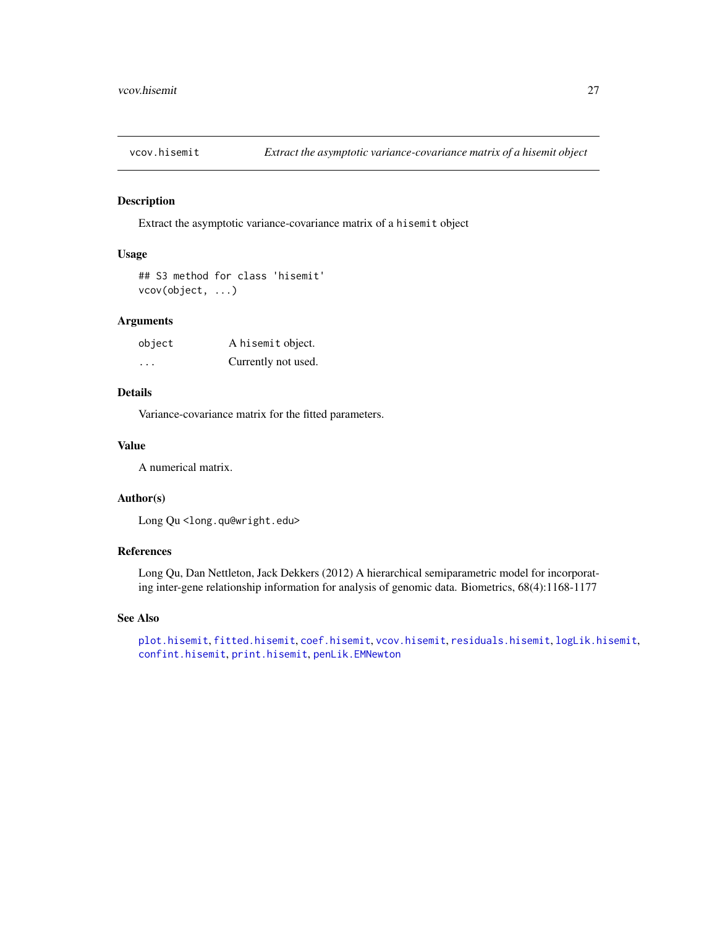<span id="page-26-1"></span><span id="page-26-0"></span>

# Description

Extract the asymptotic variance-covariance matrix of a hisemit object

#### Usage

```
## S3 method for class 'hisemit'
vcov(object, ...)
```
# Arguments

| object | A hisemit object.   |
|--------|---------------------|
| .      | Currently not used. |

# Details

Variance-covariance matrix for the fitted parameters.

# Value

A numerical matrix.

# Author(s)

Long Qu <long.qu@wright.edu>

# References

Long Qu, Dan Nettleton, Jack Dekkers (2012) A hierarchical semiparametric model for incorporating inter-gene relationship information for analysis of genomic data. Biometrics, 68(4):1168-1177

#### See Also

[plot.hisemit](#page-17-1), [fitted.hisemit](#page-7-1), [coef.hisemit](#page-3-1), [vcov.hisemit](#page-26-1), [residuals.hisemit](#page-19-1), [logLik.hisemit](#page-10-1), [confint.hisemit](#page-4-1), [print.hisemit](#page-18-1), [penLik.EMNewton](#page-14-1)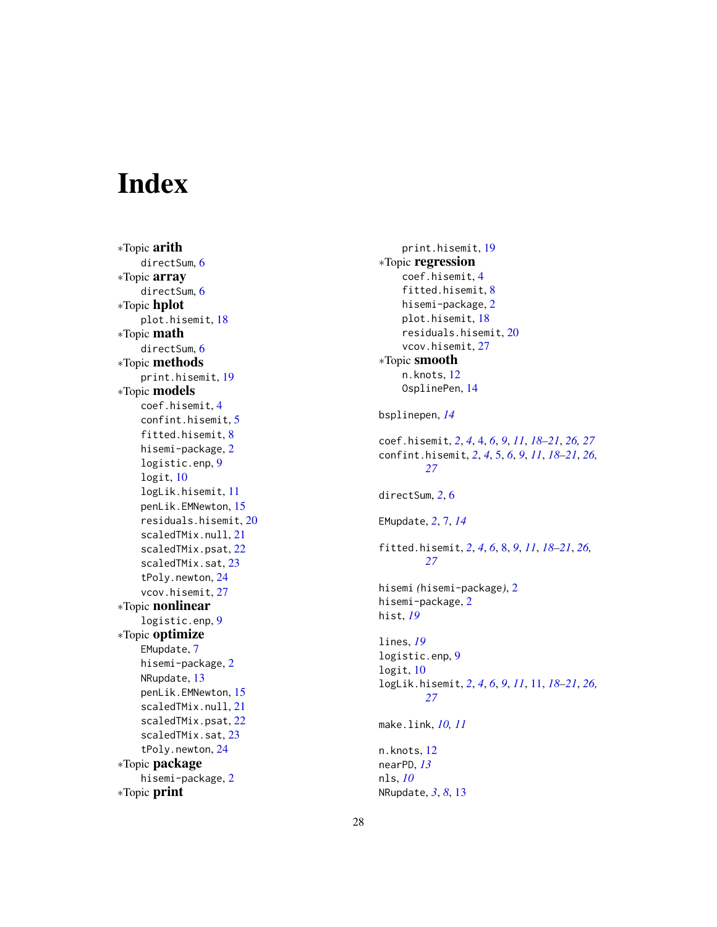# <span id="page-27-0"></span>Index

∗Topic arith directSum , [6](#page-5-0) ∗Topic array directSum , [6](#page-5-0) ∗Topic hplot plot.hisemit , [18](#page-17-0) ∗Topic math directSum, [6](#page-5-0) ∗Topic methods print.hisemit , [19](#page-18-0) ∗Topic models coef.hisemit , [4](#page-3-0) confint.hisemit , [5](#page-4-0) fitted.hisemit , [8](#page-7-0) hisemi-package , [2](#page-1-0) logistic.enp , [9](#page-8-0) logit , [10](#page-9-0) logLik.hisemit , [11](#page-10-0) penLik.EMNewton , [15](#page-14-0) residuals.hisemit , [20](#page-19-0) scaledTMix.null , [21](#page-20-0) scaledTMix.psat , [22](#page-21-0) scaledTMix.sat, [23](#page-22-0) tPoly.newton , [24](#page-23-0) vcov.hisemit, [27](#page-26-0) ∗Topic nonlinear logistic.enp , [9](#page-8-0) ∗Topic optimize EMupdate , [7](#page-6-0) hisemi-package, [2](#page-1-0) NRupdate , [13](#page-12-0) penLik.EMNewton , [15](#page-14-0) scaledTMix.null , [21](#page-20-0) scaledTMix.psat , [22](#page-21-0) scaledTMix.sat, [23](#page-22-0) tPoly.newton , [24](#page-23-0) ∗Topic package hisemi-package, [2](#page-1-0) ∗Topic print

```
print.hisemit
, 19
∗Topic regression
     coef.hisemit
,
4
     fitted.hisemit
,
8
     hisemi-package
,
2
     plot.hisemit
, 18
     residuals.hisemit
, 20
     27
∗Topic smooth
     n.knots
, 12
     OsplinePen
, 14
bsplinepen
, 14
coef.hisemit
,
2
,
4
,
4
,
6
,
9
, 11
, 18
–21
, 26, 27
confint.hisemit
,
2
,
4
,
5
,
6
,
9
, 11
, 18
–21
, 26,
          27
directSum
,
2
,
6
EMupdate
,
2
,
7
, 14
fitted.hisemit
,
2
,
4
,
6
,
8
,
9
, 11
, 18
–21
, 26,
          27
hisemi
(hisemi-package
)
,
2
hisemi-package
,
2
hist
, 19
lines
, 19
logistic.enp
,
9
logit
, 10
logLik.hisemit
,
2
,
4
,
6
,
9
, 11
, 11
, 18
–21
, 26,
          27
make.link
, 10
, 11
n.knots
, 12
nearPD
, 13
nls
, 10
NRupdate
,
3
,
8
, 13
```